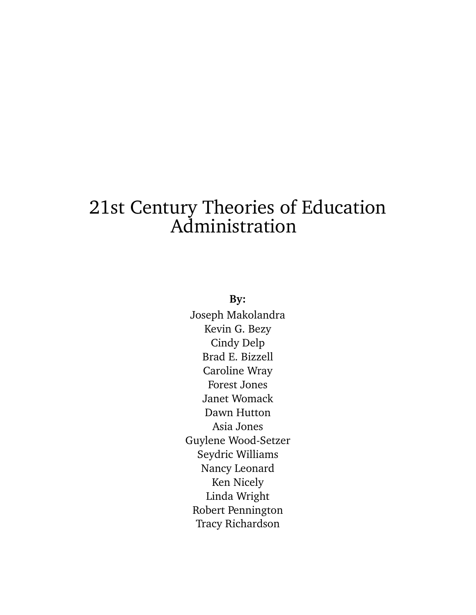## 21st Century Theories of Education Administration

**By:** Joseph Makolandra Kevin G. Bezy Cindy Delp Brad E. Bizzell Caroline Wray Forest Jones Janet Womack Dawn Hutton Asia Jones Guylene Wood-Setzer Seydric Williams Nancy Leonard Ken Nicely Linda Wright Robert Pennington Tracy Richardson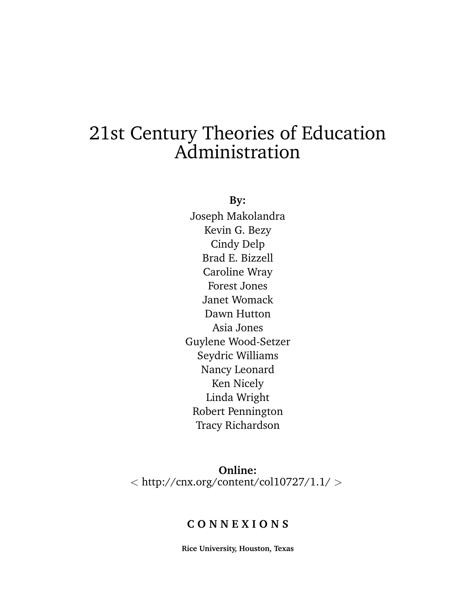## 21st Century Theories of Education Administration

**By:**

Joseph Makolandra Kevin G. Bezy Cindy Delp Brad E. Bizzell Caroline Wray Forest Jones Janet Womack Dawn Hutton Asia Jones Guylene Wood-Setzer Seydric Williams Nancy Leonard Ken Nicely Linda Wright Robert Pennington Tracy Richardson

**Online:**  $\langle$  http://cnx.org/content/col10727/1.1/ $>$ 

### **C O N N E X I O N S**

**Rice University, Houston, Texas**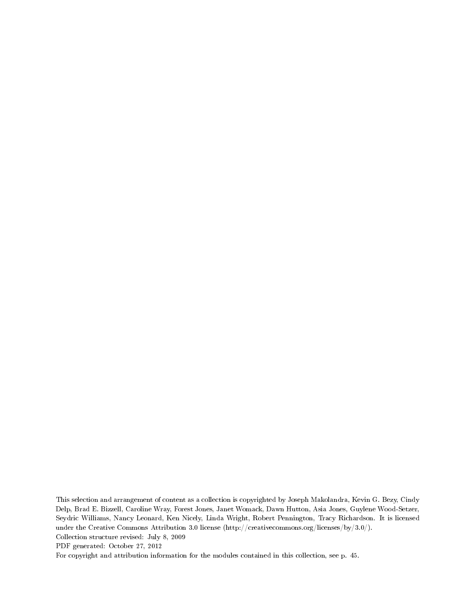This selection and arrangement of content as a collection is copyrighted by Joseph Makolandra, Kevin G. Bezy, Cindy Delp, Brad E. Bizzell, Caroline Wray, Forest Jones, Janet Womack, Dawn Hutton, Asia Jones, Guylene Wood-Setzer, Seydric Williams, Nancy Leonard, Ken Nicely, Linda Wright, Robert Pennington, Tracy Richardson. It is licensed under the Creative Commons Attribution 3.0 license (http://creativecommons.org/licenses/by/3.0/). Collection structure revised: July 8, 2009

PDF generated: October 27, 2012

For copyright and attribution information for the modules contained in this collection, see p. 45.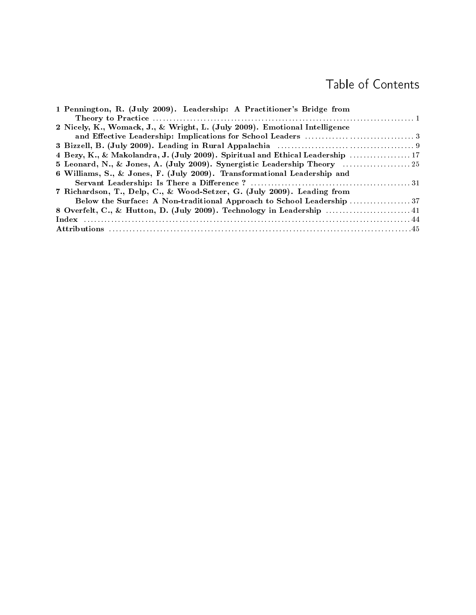### Table of Contents

| 1 Pennington, R. (July 2009). Leadership: A Practitioner's Bridge from                |
|---------------------------------------------------------------------------------------|
|                                                                                       |
| 2 Nicely, K., Womack, J., & Wright, L. (July 2009). Emotional Intelligence            |
|                                                                                       |
| 3 Bizzell, B. (July 2009). Leading in Rural Appalachia material contains the set of 9 |
| 4 Bezy, K., & Makolandra, J. (July 2009). Spiritual and Ethical Leadership  17        |
| 5 Leonard, N., & Jones, A. (July 2009). Synergistic Leadership Theory manufacture     |
| 6 Williams, S., & Jones, F. (July 2009). Transformational Leadership and              |
|                                                                                       |
| 7 Richardson, T., Delp, C., & Wood-Setzer, G. (July 2009). Leading from               |
|                                                                                       |
| 8 Overfelt, C., & Hutton, D. (July 2009). Technology in Leadership  41                |
|                                                                                       |
|                                                                                       |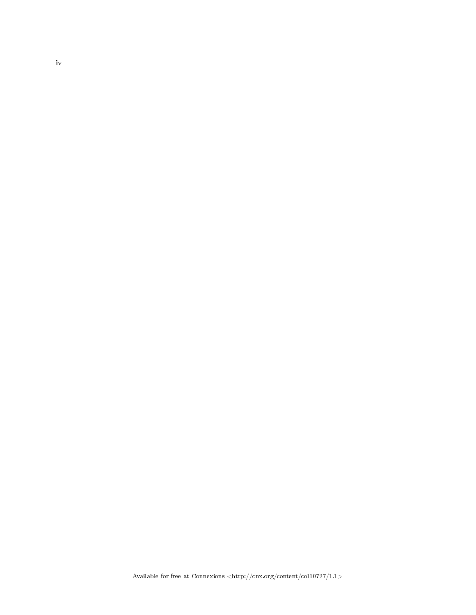iv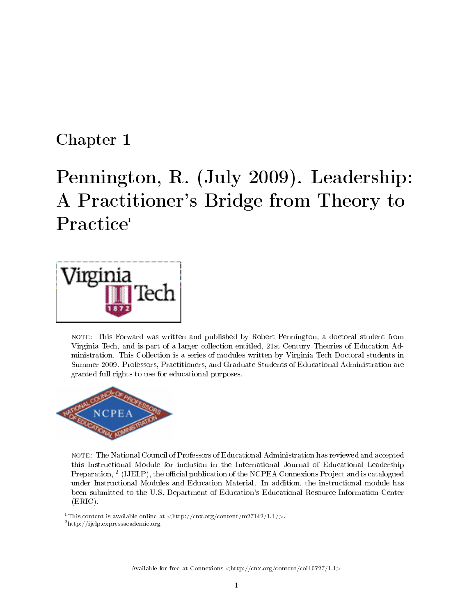## Chapter 1

## Pennington, R. (July 2009). Leadership: A Practitioner's Bridge from Theory to Practice<sup>1</sup>



NOTE: This Forward was written and published by Robert Pennington, a doctoral student from Virginia Tech, and is part of a larger collection entitled, 21st Century Theories of Education Administration. This Collection is a series of modules written by Virginia Tech Doctoral students in Summer 2009. Professors, Practitioners, and Graduate Students of Educational Administration are granted full rights to use for educational purposes.



note: The National Council of Professors of Educational Administration has reviewed and accepted this Instructional Module for inclusion in the International Journal of Educational Leadership Preparation, <sup>2</sup> (IJELP), the official publication of the NCPEA Connexions Project and is catalogued under Instructional Modules and Education Material. In addition, the instructional module has been submitted to the U.S. Department of Education's Educational Resource Information Center (ERIC).

Available for free at Connexions <http://cnx.org/content/col10727/1.1>

<sup>&</sup>lt;sup>1</sup>This content is available online at  $\langle \text{http://cnx.org/content/m27142/1.1/}>.$ 

<sup>2</sup>http://ijelp.expressacademic.org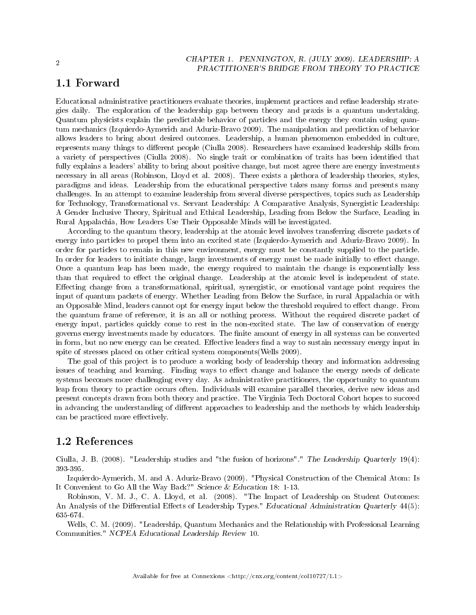#### CHAPTER 1. PENNINGTON, R. (JULY 2009). LEADERSHIP: A PRACTITIONER'S BRIDGE FROM THEORY TO PRACTICE

#### 1.1 Forward

Educational administrative practitioners evaluate theories, implement practices and refine leadership strategies daily. The exploration of the leadership gap between theory and praxis is a quantum undertaking. Quantum physicists explain the predictable behavior of particles and the energy they contain using quantum mechanics (Izquierdo-Aymerich and Aduriz-Bravo 2009). The manipulation and prediction of behavior allows leaders to bring about desired outcomes. Leadership, a human phenomenon embedded in culture, represents many things to different people (Ciulla 2008). Researchers have examined leadership skills from a variety of perspectives (Ciulla 2008). No single trait or combination of traits has been identified that fully explains a leaders' ability to bring about positive change, but most agree there are energy investments necessary in all areas (Robinson, Lloyd et al. 2008). There exists a plethora of leadership theories, styles, paradigms and ideas. Leadership from the educational perspective takes many forms and presents many challenges. In an attempt to examine leadership from several diverse perspectives, topics such as Leadership for Technology, Transformational vs. Servant Leadership: A Comparative Analysis, Synergistic Leadership: A Gender Inclusive Theory, Spiritual and Ethical Leadership, Leading from Below the Surface, Leading in Rural Appalachia, How Leaders Use Their Opposable Minds will be investigated.

According to the quantum theory, leadership at the atomic level involves transferring discrete packets of energy into particles to propel them into an excited state (Izquierdo-Aymerich and Aduriz-Bravo 2009). In order for particles to remain in this new environment, energy must be constantly supplied to the particle. In order for leaders to initiate change, large investments of energy must be made initially to effect change. Once a quantum leap has been made, the energy required to maintain the change is exponentially less than that required to effect the original change. Leadership at the atomic level is independent of state. Effecting change from a transformational, spiritual, synergistic, or emotional vantage point requires the input of quantum packets of energy. Whether Leading from Below the Surface, in rural Appalachia or with an Opposable Mind, leaders cannot opt for energy input below the threshold required to effect change. From the quantum frame of reference, it is an all or nothing process. Without the required discrete packet of energy input, particles quickly come to rest in the non-excited state. The law of conservation of energy governs energy investments made by educators. The finite amount of energy in all systems can be converted in form, but no new energy can be created. Effective leaders find a way to sustain necessary energy input in spite of stresses placed on other critical system components(Wells 2009).

The goal of this project is to produce a working body of leadership theory and information addressing issues of teaching and learning. Finding ways to effect change and balance the energy needs of delicate systems becomes more challenging every day. As administrative practitioners, the opportunity to quantum leap from theory to practice occurs often. Individuals will examine parallel theories, derive new ideas and present concepts drawn from both theory and practice. The Virginia Tech Doctoral Cohort hopes to succeed in advancing the understanding of different approaches to leadership and the methods by which leadership can be practiced more effectively.

#### 1.2 References

Ciulla, J. B. (2008). "Leadership studies and "the fusion of horizons"." The Leadership Quarterly 19(4): 393-395.

Izquierdo-Aymerich, M. and A. Aduriz-Bravo (2009). "Physical Construction of the Chemical Atom: Is It Convenient to Go All the Way Back?" Science & Education 18: 1-13.

Robinson, V. M. J., C. A. Lloyd, et al. (2008). "The Impact of Leadership on Student Outcomes: An Analysis of the Differential Effects of Leadership Types." Educational Administration Quarterly 44(5): 635-674.

Wells, C. M. (2009). "Leadership, Quantum Mechanics and the Relationship with Professional Learning Communities." NCPEA Educational Leadership Review 10.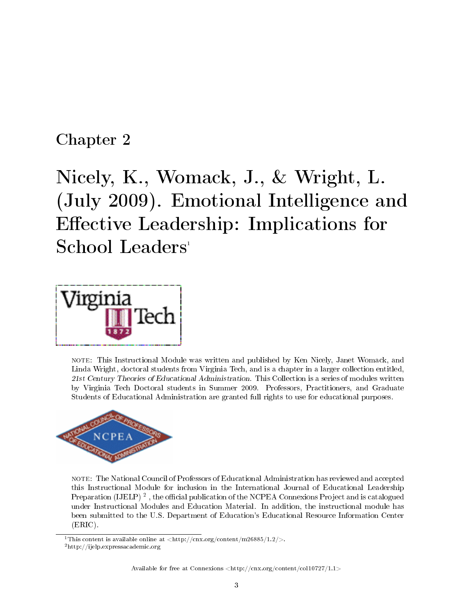### Chapter 2

# Nicely, K., Womack, J., & Wright, L. (July 2009). Emotional Intelligence and Effective Leadership: Implications for School Leaders<sup>1</sup>



note: This Instructional Module was written and published by Ken Nicely, Janet Womack, and Linda Wright, doctoral students from Virginia Tech, and is a chapter in a larger collection entitled, 21st Century Theories of Educational Administration. This Collection is a series of modules written by Virginia Tech Doctoral students in Summer 2009. Professors, Practitioners, and Graduate Students of Educational Administration are granted full rights to use for educational purposes.



note: The National Council of Professors of Educational Administration has reviewed and accepted this Instructional Module for inclusion in the International Journal of Educational Leadership Preparation (IJELP)<sup>2</sup>, the official publication of the NCPEA Connexions Project and is catalogued under Instructional Modules and Education Material. In addition, the instructional module has been submitted to the U.S. Department of Education's Educational Resource Information Center (ERIC).

Available for free at Connexions <http://cnx.org/content/col10727/1.1>

<sup>&</sup>lt;sup>1</sup>This content is available online at  $\langle$ http://cnx.org/content/m26885/1.2/ $>$ .

<sup>2</sup>http://ijelp.expressacademic.org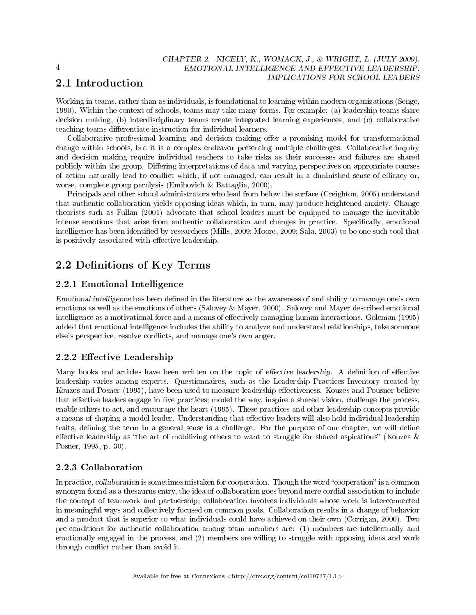#### CHAPTER 2. NICELY, K., WOMACK, J., & WRIGHT, L. (JULY 2009). EMOTIONAL INTELLIGENCE AND EFFECTIVE LEADERSHIP: **2.1 Introduction** MPLICATIONS FOR SCHOOL LEADERS

Working in teams, rather than as individuals, is foundational to learning within modern organizations (Senge, 1990). Within the context of schools, teams may take many forms. For example: (a) leadership teams share decision making, (b) interdisciplinary teams create integrated learning experiences, and (c) collaborative teaching teams differentiate instruction for individual learners.

Collaborative professional learning and decision making offer a promising model for transformational change within schools, but it is a complex endeavor presenting multiple challenges. Collaborative inquiry and decision making require individual teachers to take risks as their successes and failures are shared publicly within the group. Differing interpretations of data and varying perspectives on appropriate courses of action naturally lead to conflict which, if not managed, can result in a diminished sense of efficacy or, worse, complete group paralysis (Emihovich & Battaglia, 2000).

Principals and other school administrators who lead from below the surface (Creighton, 2005) understand that authentic collaboration yields opposing ideas which, in turn, may produce heightened anxiety. Change theorists such as Fullan (2001) advocate that school leaders must be equipped to manage the inevitable intense emotions that arise from authentic collaboration and changes in practice. Specifically, emotional intelligence has been identified by researchers (Mills, 2009; Moore, 2009; Sala, 2003) to be one such tool that is positively associated with effective leadership.

#### 2.2 Definitions of Key Terms

#### 2.2.1 Emotional Intelligence

Emotional intelligence has been defined in the literature as the awareness of and ability to manage one's own emotions as well as the emotions of others (Salovey & Mayer, 2000). Salovey and Mayer described emotional intelligence as a motivational force and a means of effectively managing human interactions. Goleman (1995) added that emotional intelligence includes the ability to analyze and understand relationships, take someone else's perspective, resolve conflicts, and manage one's own anger.

#### 2.2.2 Effective Leadership

Many books and articles have been written on the topic of effective leadership. A definition of effective leadership varies among experts. Questionnaires, such as the Leadership Practices Inventory created by Kouzes and Posner (1995), have been used to measure leadership effectiveness. Kouzes and Pousner believe that effective leaders engage in five practices; model the way, inspire a shared vision, challenge the process, enable others to act, and encourage the heart (1995). These practices and other leadership concepts provide a means of shaping a model leader. Understanding that effective leaders will also hold individual leadership traits, defining the term in a general sense is a challenge. For the purpose of our chapter, we will define effective leadership as "the art of mobilizing others to want to struggle for shared aspirations" (Kouzes  $\&$ Posner, 1995, p. 30).

#### 2.2.3 Collaboration

In practice, collaboration is sometimes mistaken for cooperation. Though the word "cooperation" is a common synonym found as a thesaurus entry, the idea of collaboration goes beyond mere cordial association to include the concept of teamwork and partnership; collaboration involves individuals whose work is interconnected in meaningful ways and collectively focused on common goals. Collaboration results in a change of behavior and a product that is superior to what individuals could have achieved on their own (Corrigan, 2000). Two pre-conditions for authentic collaboration among team members are: (1) members are intellectually and emotionally engaged in the process, and (2) members are willing to struggle with opposing ideas and work through conflict rather than avoid it.

4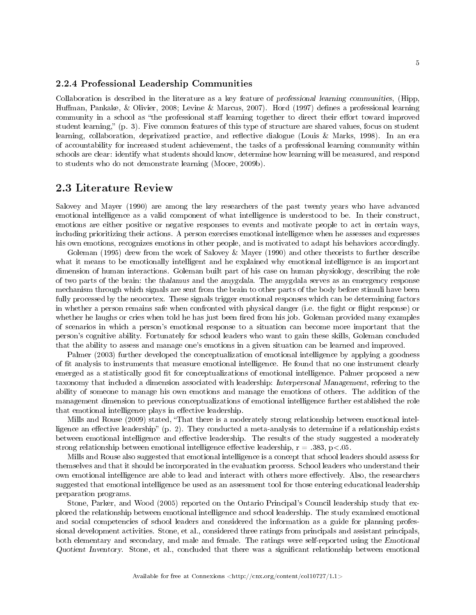#### 5

#### 2.2.4 Professional Leadership Communities

Collaboration is described in the literature as a key feature of professional learning communities, (Hipp, Huffman, Pankake, & Olivier, 2008; Levine & Marcus, 2007). Hord (1997) defines a professional learning community in a school as "the professional staff learning together to direct their effort toward improved student learning," (p. 3). Five common features of this type of structure are shared values, focus on student learning, collaboration, deprivatized practice, and reflective dialogue (Louis & Marks, 1998). In an era of accountability for increased student achievement, the tasks of a professional learning community within schools are clear: identify what students should know, determine how learning will be measured, and respond to students who do not demonstrate learning (Moore, 2009b).

#### 2.3 Literature Review

Salovey and Mayer (1990) are among the key researchers of the past twenty years who have advanced emotional intelligence as a valid component of what intelligence is understood to be. In their construct, emotions are either positive or negative responses to events and motivate people to act in certain ways, including prioritizing their actions. A person exercises emotional intelligence when he assesses and expresses his own emotions, recognizes emotions in other people, and is motivated to adapt his behaviors accordingly.

Goleman (1995) drew from the work of Salovey & Mayer (1990) and other theorists to further describe what it means to be emotionally intelligent and he explained why emotional intelligence is an important dimension of human interactions. Goleman built part of his case on human physiology, describing the role of two parts of the brain: the thalamus and the amygdala. The amygdala serves as an emergency response mechanism through which signals are sent from the brain to other parts of the body before stimuli have been fully processed by the neocortex. These signals trigger emotional responses which can be determining factors in whether a person remains safe when confronted with physical danger (i.e. the fight or flight response) or whether he laughs or cries when told he has just been fired from his job. Goleman provided many examples of scenarios in which a person's emotional response to a situation can become more important that the person's cognitive ability. Fortunately for school leaders who want to gain these skills, Goleman concluded that the ability to assess and manage one's emotions in a given situation can be learned and improved.

Palmer (2003) further developed the conceptualization of emotional intelligence by applying a goodness of fit analysis to instruments that measure emotional intelligence. He found that no one instrument clearly emerged as a statistically good fit for conceptualizations of emotional intelligence. Palmer proposed a new taxonomy that included a dimension associated with leadership: Interpersonal Management, refering to the ability of someone to manage his own emotions and manage the emotions of others. The addition of the management dimension to previous conceptualizations of emotional intelligence further established the role that emotional intelligence plays in effective leadership.

Mills and Rouse (2009) stated, "That there is a moderately strong relationship between emotional intelligence an effective leadership"  $(p, 2)$ . They conducted a meta-analysis to determine if a relationship exists between emotional intelligence and effective leadership. The results of the study suggested a moderately strong relationship between emotional intelligence effective leadership,  $r = .383$ , p<.05.

Mills and Rouse also suggested that emotional intelligence is a concept that school leaders should assess for themselves and that it should be incorporated in the evaluation process. School leaders who understand their own emotional intelligence are able to lead and interact with others more effectively. Also, the researchers suggested that emotional intelligence be used as an assessment tool for those entering educational leadership preparation programs.

Stone, Parker, and Wood (2005) reported on the Ontario Principal's Council leadership study that explored the relationship between emotional intelligence and school leadership. The study examined emotional and social competencies of school leaders and considered the information as a guide for planning professional development activities. Stone, et al., considered three ratings from principals and assistant principals, both elementary and secondary, and male and female. The ratings were self-reported using the Emotional Quotient Inventory. Stone, et al., concluded that there was a signicant relationship between emotional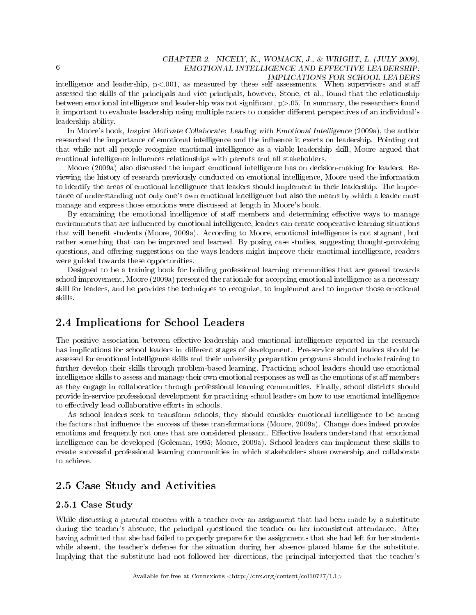#### CHAPTER 2. NICELY, K., WOMACK, J., & WRIGHT, L. (JULY 2009). EMOTIONAL INTELLIGENCE AND EFFECTIVE LEADERSHIP: IMPLICATIONS FOR SCHOOL LEADERS

intelligence and leadership,  $p<.001$ , as measured by these self assessments. When supervisors and staff assessed the skills of the principals and vice principals, however, Stone, et al., found that the relationship between emotional intelligence and leadership was not significant,  $p>0.05$ . In summary, the researchers found it important to evaluate leadership using multiple raters to consider different perspectives of an individual's leadership ability.

In Moore's book, Inspire Motivate Collaborate: Leading with Emotional Intelligence (2009a), the author researched the importance of emotional intelligence and the influence it exerts on leadership. Pointing out that while not all people recognize emotional intelligence as a viable leadership skill, Moore argued that emotional intelligence influences relationships with parents and all stakeholders.

Moore (2009a) also discussed the impact emotional intelligence has on decision-making for leaders. Reviewing the history of research previously conducted on emotional intelligence, Moore used the information to identify the areas of emotional intelligence that leaders should implement in their leadership. The importance of understanding not only one's own emotional intelligence but also the means by which a leader must manage and express those emotions were discussed at length in Moore's book.

By examining the emotional intelligence of staff members and determining effective ways to manage environments that are influenced by emotional intelligence, leaders can create cooperative learning situations that will benefit students (Moore, 2009a). According to Moore, emotional intelligence is not stagnant, but rather something that can be improved and learned. By posing case studies, suggesting thought-provoking questions, and offering suggestions on the ways leaders might improve their emotional intelligence, readers were guided towards these opportunities.

Designed to be a training book for building professional learning communities that are geared towards school improvement, Moore (2009a) presented the rationale for accepting emotional intelligence as a necessary skill for leaders, and he provides the techniques to recognize, to implement and to improve those emotional skills.

#### 2.4 Implications for School Leaders

The positive association between effective leadership and emotional intelligence reported in the research has implications for school leaders in different stages of development. Pre-service school leaders should be assessed for emotional intelligence skills and their university preparation programs should include training to further develop their skills through problem-based learning. Practicing school leaders should use emotional intelligence skills to assess and manage their own emotional responses as well as the emotions of staff members as they engage in collaboration through professional learning communities. Finally, school districts should provide in-service professional development for practicing school leaders on how to use emotional intelligence to effectively lead collaborative efforts in schools.

As school leaders seek to transform schools, they should consider emotional intelligence to be among the factors that influence the success of these transformations (Moore, 2009a). Change does indeed provoke emotions and frequently not ones that are considered pleasant. Effective leaders understand that emotional intelligence can be developed (Goleman, 1995; Moore, 2009a). School leaders can implement these skills to create successful professional learning communities in which stakeholders share ownership and collaborate to achieve.

#### 2.5 Case Study and Activities

#### 2.5.1 Case Study

While discussing a parental concern with a teacher over an assignment that had been made by a substitute during the teacher's absence, the principal questioned the teacher on her inconsistent attendance. After having admitted that she had failed to properly prepare for the assignments that she had left for her students while absent, the teacher's defense for the situation during her absence placed blame for the substitute. Implying that the substitute had not followed her directions, the principal interjected that the teacher's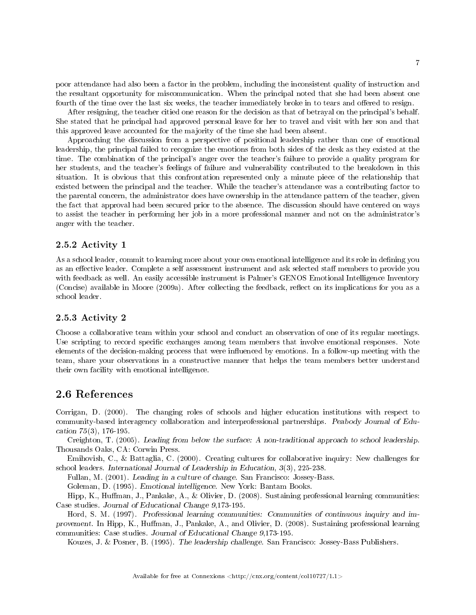poor attendance had also been a factor in the problem, including the inconsistent quality of instruction and the resultant opportunity for miscommunication. When the principal noted that she had been absent one fourth of the time over the last six weeks, the teacher immediately broke in to tears and offered to resign.

After resigning, the teacher citied one reason for the decision as that of betrayal on the principal's behalf. She stated that he principal had approved personal leave for her to travel and visit with her son and that this approved leave accounted for the majority of the time she had been absent.

Approaching the discussion from a perspective of positional leadership rather than one of emotional leadership, the principal failed to recognize the emotions from both sides of the desk as they existed at the time. The combination of the principal's anger over the teacher's failure to provide a quality program for her students, and the teacher's feelings of failure and vulnerability contributed to the breakdown in this situation. It is obvious that this confrontation represented only a minute piece of the relationship that existed between the principal and the teacher. While the teacher's attendance was a contributing factor to the parental concern, the administrator does have ownership in the attendance pattern of the teacher, given the fact that approval had been secured prior to the absence. The discussion should have centered on ways to assist the teacher in performing her job in a more professional manner and not on the administrator's anger with the teacher.

#### 2.5.2 Activity 1

As a school leader, commit to learning more about your own emotional intelligence and its role in defining you as an effective leader. Complete a self assessment instrument and ask selected staff members to provide you with feedback as well. An easily accessible instrument is Palmer's GENOS Emotional Intelligence Inventory (Concise) available in Moore  $(2009a)$ . After collecting the feedback, reflect on its implications for you as a school leader.

#### 2.5.3 Activity 2

Choose a collaborative team within your school and conduct an observation of one of its regular meetings. Use scripting to record specific exchanges among team members that involve emotional responses. Note elements of the decision-making process that were influenced by emotions. In a follow-up meeting with the team, share your observations in a constructive manner that helps the team members better understand their own facility with emotional intelligence.

#### 2.6 References

Corrigan, D. (2000). The changing roles of schools and higher education institutions with respect to community-based interagency collaboration and interprofessional partnerships. Peabody Journal of Education 75(3), 176-195.

Creighton, T. (2005). Leading from below the surface: A non-traditional approach to school leadership. Thousands Oaks, CA: Corwin Press.

Emihovish, C., & Battaglia, C. (2000). Creating cultures for collaborative inquiry: New challenges for school leaders. International Journal of Leadership in Education, 3(3), 225-238.

Fullan, M. (2001). Leading in a culture of change. San Francisco: Jossey-Bass.

Goleman, D. (1995). Emotional intelligence. New York: Bantam Books.

Hipp, K., Huffman, J., Pankake, A., & Olivier, D. (2008). Sustaining professional learning communities: Case studies. Journal of Educational Change 9,173-195.

Hord, S. M. (1997). Professional learning communities: Communities of continuous inquiry and improvement. In Hipp, K., Huffman, J., Pankake, A., and Olivier, D. (2008). Sustaining professional learning communities: Case studies. Journal of Educational Change 9,173-195.

Kouzes, J. & Posner, B. (1995). The leadership challenge. San Francisco: Jossey-Bass Publishers.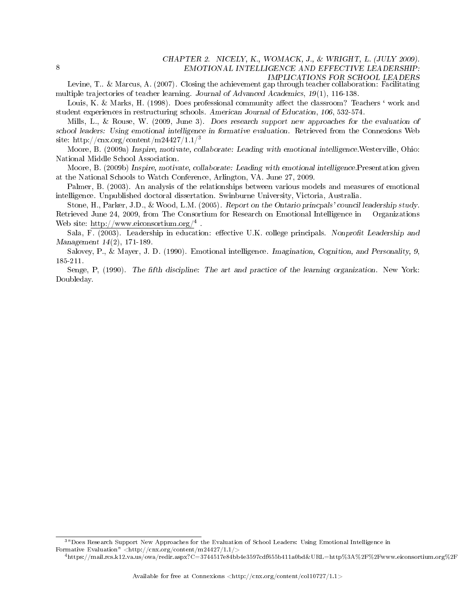Levine, T.. & Marcus, A. (2007). Closing the achievement gap through teacher collaboration: Facilitating multiple trajectories of teacher learning. Journal of Advanced Academics, 19(1), 116-138.

Louis, K. & Marks, H. (1998). Does professional community affect the classroom? Teachers ' work and student experiences in restructuring schools. American Journal of Education, 106, 532-574.

Mills, L., & Rouse, W. (2009, June 3). Does research support new approaches for the evaluation of school leaders: Using emotional intelligence in formative evaluation. Retrieved from the Connexions Web site: http://cnx.org/content/m24427/1.1/<sup>3</sup>

Moore, B. (2009a) Inspire, motivate, collaborate: Leading with emotional intelligence.Westerville, Ohio: National Middle School Association.

Moore, B. (2009b) Inspire, motivate, collaborate: Leading with emotional intelligence.Presentation given at the National Schools to Watch Conference, Arlington, VA. June 27, 2009.

Palmer, B. (2003). An analysis of the relationships between various models and measures of emotional intelligence. Unpublished doctoral dissertation. Swinburne University, Victoria, Australia.

Stone, H., Parker, J.D., & Wood, L.M. (2005). Report on the Ontario princpals' council leadership study. Retrieved June 24, 2009, from The Consortium for Research on Emotional Intelligence in Organizations Web site: http://www.eiconsortium.org/<sup>4</sup>.

Sala, F. (2003). Leadership in education: effective U.K. college principals. Nonprofit Leadership and Management 14(2), 171-189.

Salovey, P., & Mayer, J. D. (1990). Emotional intelligence. Imagination, Cognition, and Personality, 9, 185-211.

Senge, P, (1990). The fifth discipline: The art and practice of the learning organization. New York: Doubleday.

IMPLICATIONS FOR SCHOOL LEADERS

<sup>3</sup>"Does Research Support New Approaches for the Evaluation of School Leaders: Using Emotional Intelligence in Formative Evaluation"  $\langle \frac{htt}{dt} p$ ://cnx.org/content/m24427/1.1/ $>$ 

<sup>4</sup>https://mail.rcs.k12.va.us/owa/redir.aspx?C=3744517e84bb4e3597cdf655b411a0bd&URL=http%3A%2F%2Fwww.eiconsortium.org%2F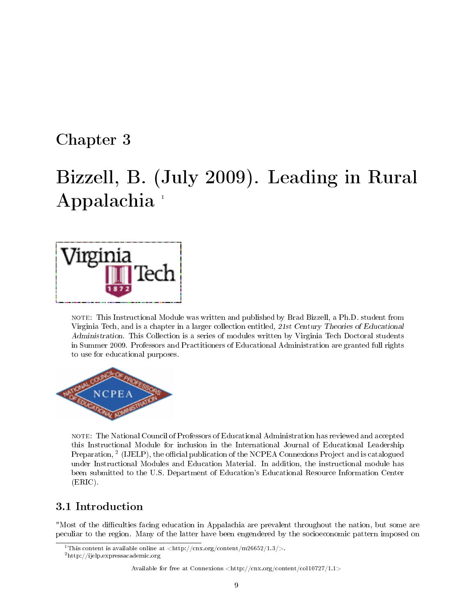### Chapter 3

## Bizzell, B. (July 2009). Leading in Rural Appalachia<sup>1</sup>



note: This Instructional Module was written and published by Brad Bizzell, a Ph.D. student from Virginia Tech, and is a chapter in a larger collection entitled, 21st Century Theories of Educational Administration. This Collection is a series of modules written by Virginia Tech Doctoral students in Summer 2009. Professors and Practitioners of Educational Administration are granted full rights to use for educational purposes.



NOTE: The National Council of Professors of Educational Administration has reviewed and accepted this Instructional Module for inclusion in the International Journal of Educational Leadership Preparation, <sup>2</sup> (IJELP), the official publication of the NCPEA Connexions Project and is catalogued under Instructional Modules and Education Material. In addition, the instructional module has been submitted to the U.S. Department of Education's Educational Resource Information Center (ERIC).

#### 3.1 Introduction

"Most of the difficulties facing education in Appalachia are prevalent throughout the nation, but some are peculiar to the region. Many of the latter have been engendered by the socioeconomic pattern imposed on

 $\overline{^{1}$ This content is available online at <http://cnx.org/content/m26652/1.3/>.

<sup>2</sup>http://ijelp.expressacademic.org

Available for free at Connexions <http://cnx.org/content/col10727/1.1>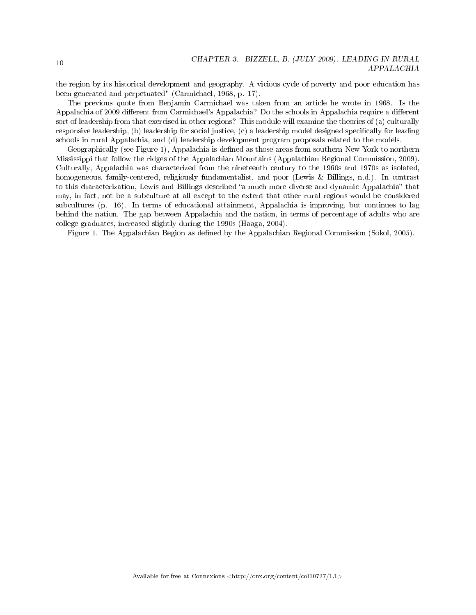the region by its historical development and geography. A vicious cycle of poverty and poor education has been generated and perpetuated" (Carmichael, 1968, p. 17).

The previous quote from Benjamin Carmichael was taken from an article he wrote in 1968. Is the Appalachia of 2009 different from Carmichael's Appalachia? Do the schools in Appalachia require a different sort of leadership from that exercised in other regions? This module will examine the theories of (a) culturally responsive leadership,  $(b)$  leadership for social justice,  $(c)$  a leadership model designed specifically for leading schools in rural Appalachia, and (d) leadership development program proposals related to the models.

Geographically (see Figure 1), Appalachia is defined as those areas from southern New York to northern Mississippi that follow the ridges of the Appalachian Mountains (Appalachian Regional Commission, 2009). Culturally, Appalachia was characterized from the nineteenth century to the 1960s and 1970s as isolated, homogeneous, family-centered, religiously fundamentalist, and poor (Lewis & Billings, n.d.). In contrast to this characterization, Lewis and Billings described "a much more diverse and dynamic Appalachia" that may, in fact, not be a subculture at all except to the extent that other rural regions would be considered subcultures (p. 16). In terms of educational attainment, Appalachia is improving, but continues to lag behind the nation. The gap between Appalachia and the nation, in terms of percentage of adults who are college graduates, increased slightly during the 1990s (Haaga, 2004).

Figure 1. The Appalachian Region as defined by the Appalachian Regional Commission (Sokol, 2005).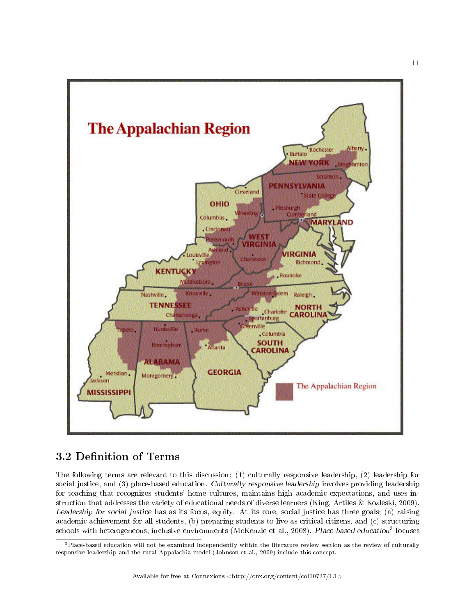

#### 3.2 Definition of Terms

The following terms are relevant to this discussion: (1) culturally responsive leadership, (2) leadership for social justice, and (3) place-based education. Culturally responsive leadership involves providing leadership for teaching that recognizes students' home cultures, maintains high academic expectations, and uses instruction that addresses the variety of educational needs of diverse learners (King, Artiles & Kozleski, 2009). Leadership for social justice has as its focus, equity. At its core, social justice has three goals; (a) raising academic achievement for all students, (b) preparing students to live as critical citizens, and (c) structuring schools with heterogeneous, inclusive environments (McKenzie et al., 2008). Place-based education<sup>3</sup> focuses

 $3$ Place-based education will not be examined independently within the literature review section as the review of culturally responsive leadership and the rural Appalachia model (Johnson et al., 2009) include this concept.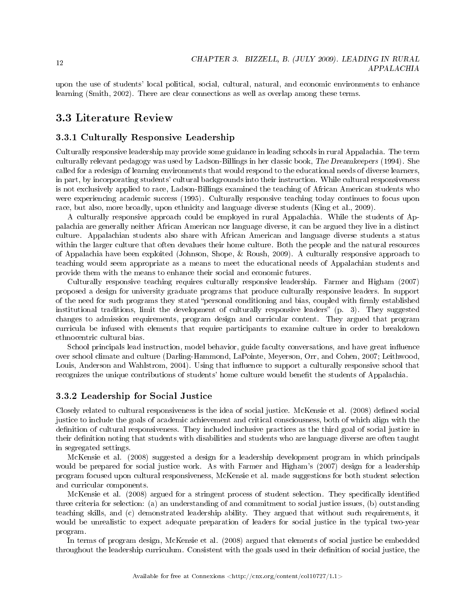upon the use of students' local political, social, cultural, natural, and economic environments to enhance learning (Smith, 2002). There are clear connections as well as overlap among these terms.

#### 3.3 Literature Review

#### 3.3.1 Culturally Responsive Leadership

Culturally responsive leadership may provide some guidance in leading schools in rural Appalachia. The term culturally relevant pedagogy was used by Ladson-Billings in her classic book, The Dreamkeepers (1994). She called for a redesign of learning environments that would respond to the educational needs of diverse learners, in part, by incorporating students' cultural backgrounds into their instruction. While cultural responsiveness is not exclusively applied to race, Ladson-Billings examined the teaching of African American students who were experiencing academic success (1995). Culturally responsive teaching today continues to focus upon race, but also, more broadly, upon ethnicity and language diverse students (King et al., 2009).

A culturally responsive approach could be employed in rural Appalachia. While the students of Appalachia are generally neither African American nor language diverse, it can be argued they live in a distinct culture. Appalachian students also share with African American and language diverse students a status within the larger culture that often devalues their home culture. Both the people and the natural resources of Appalachia have been exploited (Johnson, Shope, & Roush, 2009). A culturally responsive approach to teaching would seem appropriate as a means to meet the educational needs of Appalachian students and provide them with the means to enhance their social and economic futures.

Culturally responsive teaching requires culturally responsive leadership. Farmer and Higham (2007) proposed a design for university graduate programs that produce culturally responsive leaders. In support of the need for such programs they stated "personal conditioning and bias, coupled with firmly established institutional traditions, limit the development of culturally responsive leaders"  $(p, 3)$ . They suggested changes to admission requirements, program design and curricular content. They argued that program curricula be infused with elements that require participants to examine culture in order to breakdown ethnocentric cultural bias.

School principals lead instruction, model behavior, guide faculty conversations, and have great influence over school climate and culture (Darling-Hammond, LaPointe, Meyerson, Orr, and Cohen, 2007; Leithwood, Louis, Anderson and Wahlstrom, 2004). Using that influence to support a culturally responsive school that recognizes the unique contributions of students' home culture would benefit the students of Appalachia.

#### 3.3.2 Leadership for Social Justice

Closely related to cultural responsiveness is the idea of social justice. McKensie et al. (2008) defined social justice to include the goals of academic achievement and critical consciousness, both of which align with the definition of cultural responsiveness. They included inclusive practices as the third goal of social justice in their definition noting that students with disabilities and students who are language diverse are often taught in segregated settings.

McKensie et al. (2008) suggested a design for a leadership development program in which principals would be prepared for social justice work. As with Farmer and Higham's (2007) design for a leadership program focused upon cultural responsiveness, McKensie et al. made suggestions for both student selection and curricular components.

McKensie et al. (2008) argued for a stringent process of student selection. They specifically identified three criteria for selection: (a) an understanding of and commitment to social justice issues, (b) outstanding teaching skills, and (c) demonstrated leadership ability. They argued that without such requirements, it would be unrealistic to expect adequate preparation of leaders for social justice in the typical two-year program.

In terms of program design, McKensie et al. (2008) argued that elements of social justice be embedded throughout the leadership curriculum. Consistent with the goals used in their definition of social justice, the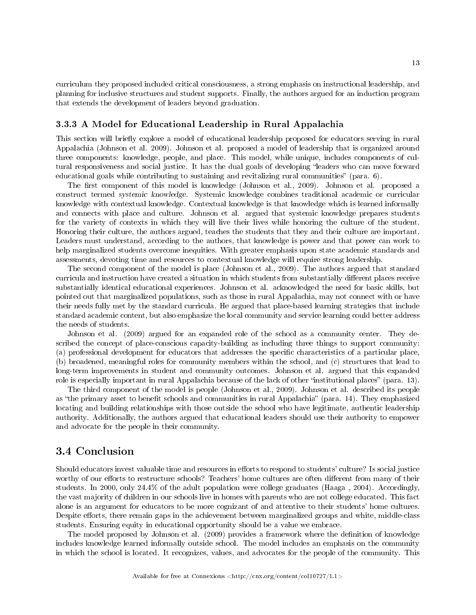curriculum they proposed included critical consciousness, a strong emphasis on instructional leadership, and planning for inclusive structures and student supports. Finally, the authors argued for an induction program that extends the development of leaders beyond graduation.

#### 3.3.3 A Model for Educational Leadership in Rural Appalachia

This section will briefly explore a model of educational leadership proposed for educators serving in rural Appalachia (Johnson et al. 2009). Johnson et al. proposed a model of leadership that is organized around three components: knowledge, people, and place. This model, while unique, includes components of cultural responsiveness and social justice. It has the dual goals of developing "leaders who can move forward educational goals while contributing to sustaining and revitalizing rural communities" (para.  $6$ ).

The first component of this model is knowledge (Johnson et al., 2009). Johnson et al. proposed a construct termed systemic knowledge. Systemic knowledge combines traditional academic or curricular knowledge with contextual knowledge. Contextual knowledge is that knowledge which is learned informally and connects with place and culture. Johnson et al. argued that systemic knowledge prepares students for the variety of contexts in which they will live their lives while honoring the culture of the student. Honoring their culture, the authors argued, teaches the students that they and their culture are important. Leaders must understand, according to the authors, that knowledge is power and that power can work to help marginalized students overcome inequities. With greater emphasis upon state academic standards and assessments, devoting time and resources to contextual knowledge will require strong leadership.

The second component of the model is place (Johnson et al., 2009). The authors argued that standard curricula and instruction have created a situation in which students from substantially different places receive substantially identical educational experiences. Johnson et al. acknowledged the need for basic skills, but pointed out that marginalized populations, such as those in rural Appalachia, may not connect with or have their needs fully met by the standard curricula. He argued that place-based learning strategies that include standard academic content, but also emphasize the local community and service learning could better address the needs of students.

Johnson et al. (2009) argued for an expanded role of the school as a community center. They described the concept of place-conscious capacity-building as including three things to support community: (a) professional development for educators that addresses the specific characteristics of a particular place, (b) broadened, meaningful roles for community members within the school, and (c) structures that lead to long-term improvements in student and community outcomes. Johnson et al. argued that this expanded role is especially important in rural Appalachia because of the lack of other "institutional places" (para. 13).

The third component of the model is people (Johnson et al., 2009). Johnson et al. described its people as "the primary asset to benefit schools and communities in rural Appalachia" (para. 14). They emphasized locating and building relationships with those outside the school who have legitimate, authentic leadership authority. Additionally, the authors argued that educational leaders should use their authority to empower and advocate for the people in their community.

#### 3.4 Conclusion

Should educators invest valuable time and resources in efforts to respond to students' culture? Is social justice worthy of our efforts to restructure schools? Teachers' home cultures are often different from many of their students. In 2000, only 24.4% of the adult population were college graduates (Haaga , 2004). Accordingly, the vast majority of children in our schools live in homes with parents who are not college educated. This fact alone is an argument for educators to be more cognizant of and attentive to their students' home cultures. Despite efforts, there remain gaps in the achievement between marginalized groups and white, middle-class students. Ensuring equity in educational opportunity should be a value we embrace.

The model proposed by Johnson et al. (2009) provides a framework where the definition of knowledge includes knowledge learned informally outside school. The model includes an emphasis on the community in which the school is located. It recognizes, values, and advocates for the people of the community. This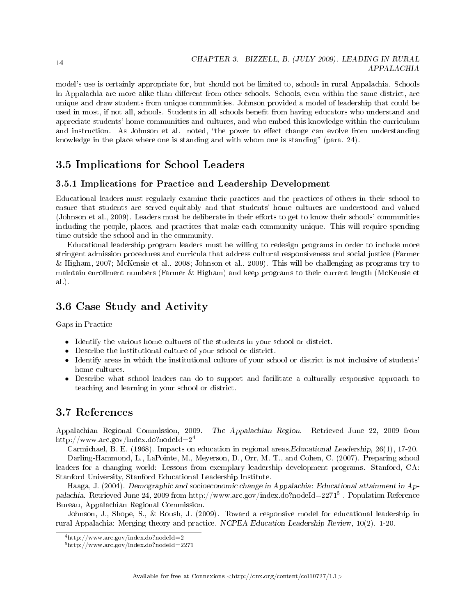model's use is certainly appropriate for, but should not be limited to, schools in rural Appalachia. Schools in Appalachia are more alike than different from other schools. Schools, even within the same district, are unique and draw students from unique communities. Johnson provided a model of leadership that could be used in most, if not all, schools. Students in all schools benefit from having educators who understand and appreciate students' home communities and cultures, and who embed this knowledge within the curriculum and instruction. As Johnson et al. noted, "the power to effect change can evolve from understanding knowledge in the place where one is standing and with whom one is standing" (para.  $24$ ).

#### 3.5 Implications for School Leaders

#### 3.5.1 Implications for Practice and Leadership Development

Educational leaders must regularly examine their practices and the practices of others in their school to ensure that students are served equitably and that students' home cultures are understood and valued (Johnson et al., 2009). Leaders must be deliberate in their efforts to get to know their schools' communities including the people, places, and practices that make each community unique. This will require spending time outside the school and in the community.

Educational leadership program leaders must be willing to redesign programs in order to include more stringent admission procedures and curricula that address cultural responsiveness and social justice (Farmer & Higham, 2007; McKensie et al., 2008; Johnson et al., 2009). This will be challenging as programs try to maintain enrollment numbers (Farmer & Higham) and keep programs to their current length (McKensie et al.).

#### 3.6 Case Study and Activity

Gaps in Practice

- Identify the various home cultures of the students in your school or district.
- Describe the institutional culture of your school or district.
- Identify areas in which the institutional culture of your school or district is not inclusive of students' home cultures.
- Describe what school leaders can do to support and facilitate a culturally responsive approach to teaching and learning in your school or district.

#### 3.7 References

Appalachian Regional Commission, 2009. The Appalachian Region. Retrieved June 22, 2009 from http://www.arc.gov/index.do?nodeId=2<sup>4</sup>

Carmichael, B. E. (1968). Impacts on education in regional areas.Educational Leadership, 26(1), 17-20.

Darling-Hammond, L., LaPointe, M., Meyerson, D., Orr, M. T., and Cohen, C. (2007). Preparing school leaders for a changing world: Lessons from exemplary leadership development programs. Stanford, CA: Stanford University, Stanford Educational Leadership Institute.

Haaga, J. (2004). Demographic and socioeconomic change in Appalachia: Educational attainment in Appalachia. Retrieved June 24, 2009 from http://www.arc.gov/index.do?nodeId=2271<sup>5</sup>. Population Reference Bureau, Appalachian Regional Commission.

Johnson, J., Shope, S., & Roush, J. (2009). Toward a responsive model for educational leadership in rural Appalachia: Merging theory and practice. NCPEA Education Leadership Review, 10(2). 1-20.

 $4$ http://www.arc.gov/index.do?nodeId=2

<sup>5</sup>http://www.arc.gov/index.do?nodeId=2271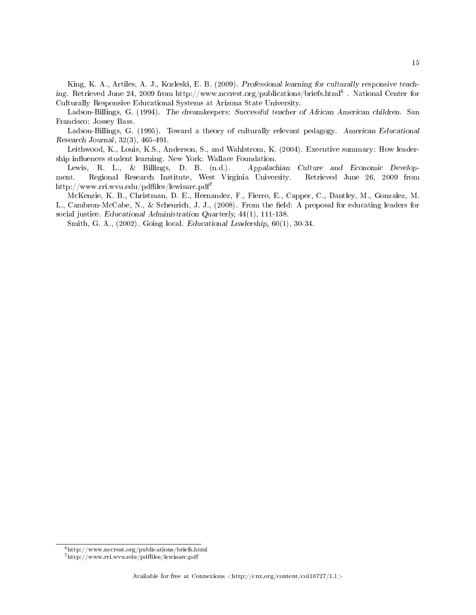King, K. A., Artiles, A. J., Kozleski, E. B. (2009). Professional learning for culturally responsive teaching. Retrieved June 24, 2009 from http://www.nccrest.org/publications/briefs.html<sup>6</sup> . National Center for Culturally Responsive Educational Systems at Arizona State University.

Ladson-Billings, G. (1994). The dreamkeepers: Successful teacher of African American children. San Francisco: Jossey Bass.

Ladson-Billings, G. (1995). Toward a theory of culturally relevant pedagogy. American Educational Research Journal, 32(3), 465-491.

Leithwood, K., Louis, K.S., Anderson, S., and Wahlstrom, K. (2004). Executive summary: How leadership influences student learning. New York: Wallace Foundation.

Lewis, R. L., & Billings, D. B. (n.d.). Appalachian Culture and Economic Development. Regional Research Institute, West Virginia University. Retrieved June 26, 2009 from http://www.rri.wvu.edu/pdffiles/lewisarc.pdf<sup>7</sup>

McKenzie, K. B., Christman, D. E., Hernandez, F., Fierro, E., Capper, C., Dantley, M., Gonzalez, M. L., Cambron-McCabe, N., & Scheurich, J. J., (2008). From the field: A proposal for educating leaders for social justice. Educational Administration Quarterly, 44(1), 111-138.

Smith, G. A., (2002). Going local. Educational Leadership, 60(1), 30-34.

 $6$ http://www.nccrest.org/publications/briefs.html

 $7$ http://www.rri.wvu.edu/pdffiles/lewisarc.pdf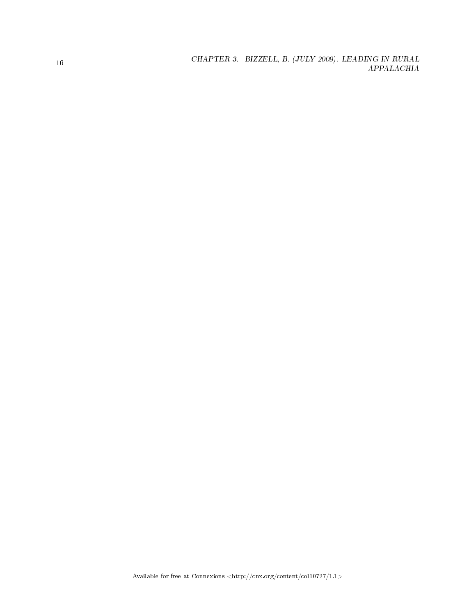<sup>16</sup> CHAPTER 3. BIZZELL, B. (JULY 2009). LEADING IN RURAL APPALACHIA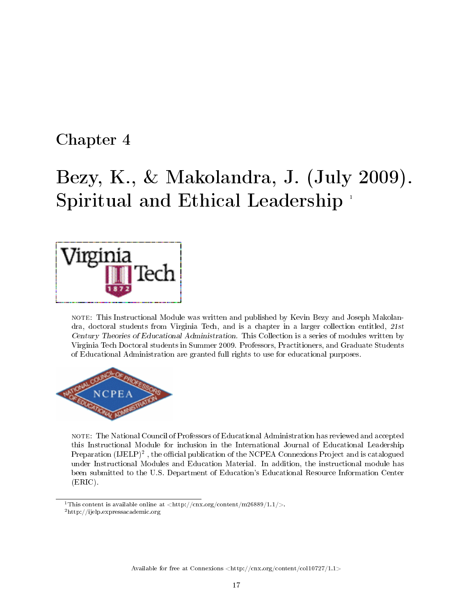### Chapter 4

## Bezy, K., & Makolandra, J. (July 2009). Spiritual and Ethical Leadership <sup>1</sup>



note: This Instructional Module was written and published by Kevin Bezy and Joseph Makolandra, doctoral students from Virginia Tech, and is a chapter in a larger collection entitled, 21st Century Theories of Educational Administration. This Collection is a series of modules written by Virginia Tech Doctoral students in Summer 2009. Professors, Practitioners, and Graduate Students of Educational Administration are granted full rights to use for educational purposes.



NOTE: The National Council of Professors of Educational Administration has reviewed and accepted this Instructional Module for inclusion in the International Journal of Educational Leadership Preparation (IJELP)<sup>2</sup>, the official publication of the NCPEA Connexions Project and is catalogued under Instructional Modules and Education Material. In addition, the instructional module has been submitted to the U.S. Department of Education's Educational Resource Information Center (ERIC).

<sup>&</sup>lt;sup>1</sup>This content is available online at  $\langle \text{http://cnx.org/content/m26889/1.1/}\rangle$ .

<sup>2</sup>http://ijelp.expressacademic.org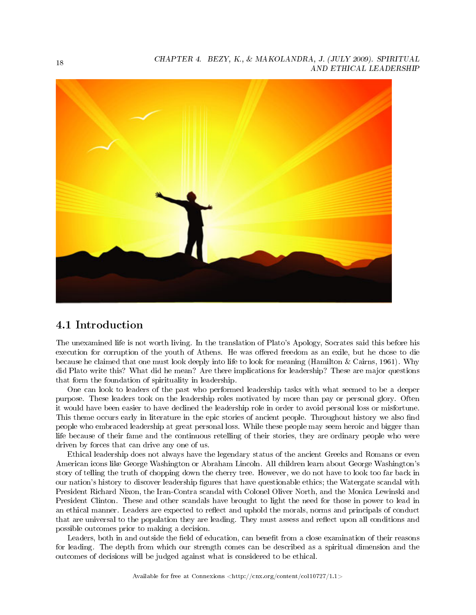18 CHAPTER 4. BEZY, K., & MAKOLANDRA, J. (JULY 2009). SPIRITUAL AND ETHICAL LEADERSHIP



#### 4.1 Introduction

The unexamined life is not worth living. In the translation of Plato's Apology, Socrates said this before his execution for corruption of the youth of Athens. He was offered freedom as an exile, but he chose to die because he claimed that one must look deeply into life to look for meaning (Hamilton & Cairns, 1961). Why did Plato write this? What did he mean? Are there implications for leadership? These are major questions that form the foundation of spirituality in leadership.

One can look to leaders of the past who performed leadership tasks with what seemed to be a deeper purpose. These leaders took on the leadership roles motivated by more than pay or personal glory. Often it would have been easier to have declined the leadership role in order to avoid personal loss or misfortune. This theme occurs early in literature in the epic stories of ancient people. Throughout history we also find people who embraced leadership at great personal loss. While these people may seem heroic and bigger than life because of their fame and the continuous retelling of their stories, they are ordinary people who were driven by forces that can drive any one of us.

Ethical leadership does not always have the legendary status of the ancient Greeks and Romans or even American icons like George Washington or Abraham Lincoln. All children learn about George Washington's story of telling the truth of chopping down the cherry tree. However, we do not have to look too far back in our nation's history to discover leadership figures that have questionable ethics; the Watergate scandal with President Richard Nixon, the Iran-Contra scandal with Colonel Oliver North, and the Monica Lewinski and President Clinton. These and other scandals have brought to light the need for those in power to lead in an ethical manner. Leaders are expected to reflect and uphold the morals, norms and principals of conduct that are universal to the population they are leading. They must assess and reflect upon all conditions and possible outcomes prior to making a decision.

Leaders, both in and outside the field of education, can benefit from a close examination of their reasons for leading. The depth from which our strength comes can be described as a spiritual dimension and the outcomes of decisions will be judged against what is considered to be ethical.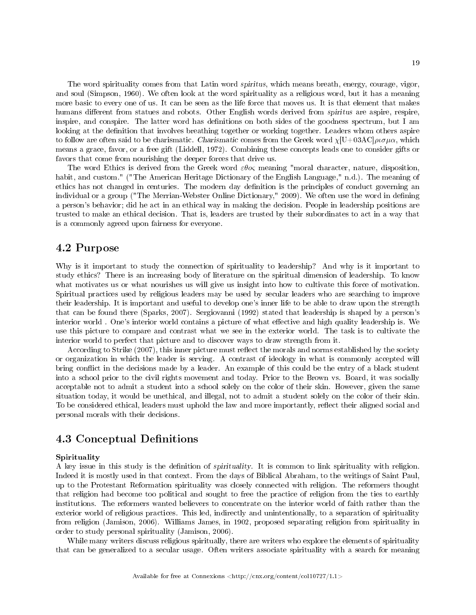The word spirituality comes from that Latin word spiritus, which means breath, energy, courage, vigor, and soul (Simpson, 1960). We often look at the word spirituality as a religious word, but it has a meaning more basic to every one of us. It can be seen as the life force that moves us. It is that element that makes humans different from statues and robots. Other English words derived from spiritus are aspire, respire, inspire, and conspire. The latter word has denitions on both sides of the goodness spectrum, but I am looking at the definition that involves breathing together or working together. Leaders whom others aspire to follow are often said to be charismatic. Charismatic comes from the Greek word  $\chi$ [U+03AC] $\rho\iota\sigma\mu\alpha$ , which means a grace, favor, or a free gift (Liddell, 1972). Combining these concepts leads one to consider gifts or favors that come from nourishing the deeper forces that drive us.

The word Ethics is derived from the Greek word  $\varepsilon \theta o \varsigma$  meaning "moral character, nature, disposition, habit, and custom." ("The American Heritage Dictionary of the English Language," n.d.). The meaning of ethics has not changed in centuries. The modern day definition is the principles of conduct governing an individual or a group ("The Merrian-Webster Online Dictionary," 2009). We often use the word in defining a person's behavior; did he act in an ethical way in making the decision. People in leadership positions are trusted to make an ethical decision. That is, leaders are trusted by their subordinates to act in a way that is a commonly agreed upon fairness for everyone.

#### 4.2 Purpose

Why is it important to study the connection of spirituality to leadership? And why is it important to study ethics? There is an increasing body of literature on the spiritual dimension of leadership. To know what motivates us or what nourishes us will give us insight into how to cultivate this force of motivation. Spiritual practices used by religious leaders may be used by secular leaders who are searching to improve their leadership. It is important and useful to develop one's inner life to be able to draw upon the strength that can be found there (Sparks, 2007). Sergiovanni (1992) stated that leadership is shaped by a person's interior world. One's interior world contains a picture of what effective and high quality leadership is. We use this picture to compare and contrast what we see in the exterior world. The task is to cultivate the interior world to perfect that picture and to discover ways to draw strength from it.

According to Strike (2007), this inner picture must reflect the morals and norms established by the society or organization in which the leader is serving. A contrast of ideology in what is commonly accepted will bring conflict in the decisions made by a leader. An example of this could be the entry of a black student into a school prior to the civil rights movement and today. Prior to the Brown vs. Board, it was socially acceptable not to admit a student into a school solely on the color of their skin. However, given the same situation today, it would be unethical, and illegal, not to admit a student solely on the color of their skin. To be considered ethical, leaders must uphold the law and more importantly, reflect their aligned social and personal morals with their decisions.

#### 4.3 Conceptual Definitions

#### Spirituality

A key issue in this study is the denition of spirituality. It is common to link spirituality with religion. Indeed it is mostly used in that context. From the days of Biblical Abraham, to the writings of Saint Paul, up to the Protestant Reformation spirituality was closely connected with religion. The reformers thought that religion had become too political and sought to free the practice of religion from the ties to earthly institutions. The reformers wanted believers to concentrate on the interior world of faith rather than the exterior world of religious practices. This led, indirectly and unintentionally, to a separation of spirituality from religion (Jamison, 2006). Williams James, in 1902, proposed separating religion from spirituality in order to study personal spirituality (Jamison, 2006).

While many writers discuss religious spiritually, there are writers who explore the elements of spirituality that can be generalized to a secular usage. Often writers associate spirituality with a search for meaning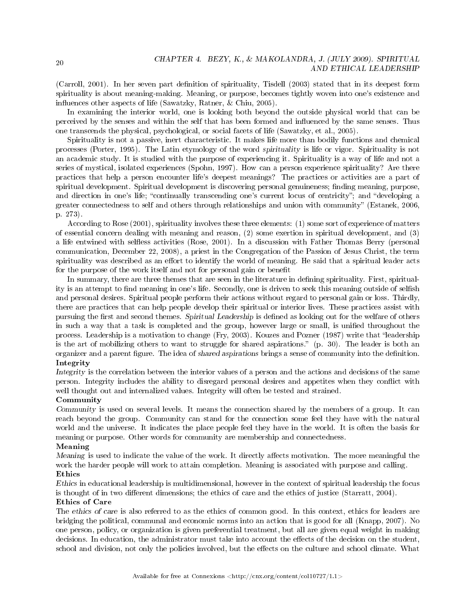(Carroll, 2001). In her seven part denition of spirituality, Tisdell (2003) stated that in its deepest form spirituality is about meaning-making. Meaning, or purpose, becomes tightly woven into one's existence and influences other aspects of life (Sawatzky, Ratner, & Chiu, 2005).

In examining the interior world, one is looking both beyond the outside physical world that can be perceived by the senses and within the self that has been formed and influenced by the same senses. Thus one transcends the physical, psychological, or social facets of life (Sawatzky, et al., 2005).

Spirituality is not a passive, inert characteristic. It makes life more than bodily functions and chemical processes (Porter, 1995). The Latin etymology of the word spirituality is life or vigor. Spirituality is not an academic study. It is studied with the purpose of experiencing it. Spirituality is a way of life and not a series of mystical, isolated experiences (Spohn, 1997). How can a person experience spirituality? Are there practices that help a person encounter life's deepest meanings? The practices or activities are a part of spiritual development. Spiritual development is discovering personal genuineness; finding meaning, purpose, and direction in one's life; "continually transcending one's current locus of centricity"; and "developing a greater connectedness to self and others through relationships and union with community" (Estanek, 2006, p. 273).

According to Rose (2001), spirituality involves these three elements: (1) some sort of experience of matters of essential concern dealing with meaning and reason, (2) some exertion in spiritual development, and (3) a life entwined with selfless activities (Rose, 2001). In a discussion with Father Thomas Berry (personal communication, December 22, 2008), a priest in the Congregation of the Passion of Jesus Christ, the term spirituality was described as an effort to identify the world of meaning. He said that a spiritual leader acts for the purpose of the work itself and not for personal gain or benefit

In summary, there are three themes that are seen in the literature in defining spirituality. First, spirituality is an attempt to find meaning in one's life. Secondly, one is driven to seek this meaning outside of selfish and personal desires. Spiritual people perform their actions without regard to personal gain or loss. Thirdly, there are practices that can help people develop their spiritual or interior lives. These practices assist with pursuing the first and second themes. Spiritual Leadership is defined as looking out for the welfare of others in such a way that a task is completed and the group, however large or small, is unified throughout the process. Leadership is a motivation to change (Fry, 2003). Kouzes and Pozner (1987) write that "leadership is the art of mobilizing others to want to struggle for shared aspirations."  $(p. 30)$ . The leader is both an organizer and a parent figure. The idea of shared aspirations brings a sense of community into the definition. Integrity

Integrity is the correlation between the interior values of a person and the actions and decisions of the same person. Integrity includes the ability to disregard personal desires and appetites when they conflict with well thought out and internalized values. Integrity will often be tested and strained.

#### Community

Community is used on several levels. It means the connection shared by the members of a group. It can reach beyond the group. Community can stand for the connection some feel they have with the natural world and the universe. It indicates the place people feel they have in the world. It is often the basis for meaning or purpose. Other words for community are membership and connectedness.

#### Meaning

Meaning is used to indicate the value of the work. It directly affects motivation. The more meaningful the work the harder people will work to attain completion. Meaning is associated with purpose and calling. Ethics

Ethics in educational leadership is multidimensional, however in the context of spiritual leadership the focus is thought of in two different dimensions; the ethics of care and the ethics of justice (Starratt, 2004).

#### Ethics of Care

The ethics of care is also referred to as the ethics of common good. In this context, ethics for leaders are bridging the political, communal and economic norms into an action that is good for all (Knapp, 2007). No one person, policy, or organization is given preferential treatment, but all are given equal weight in making decisions. In education, the administrator must take into account the effects of the decision on the student, school and division, not only the policies involved, but the effects on the culture and school climate. What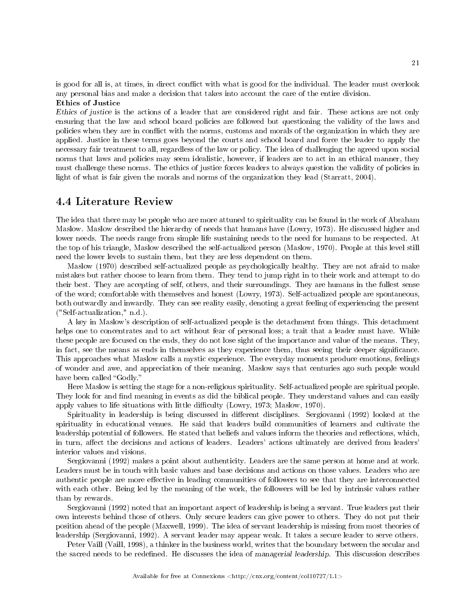is good for all is, at times, in direct conflict with what is good for the individual. The leader must overlook any personal bias and make a decision that takes into account the care of the entire division.

#### Ethics of Justice

Ethics of justice is the actions of a leader that are considered right and fair. These actions are not only ensuring that the law and school board policies are followed but questioning the validity of the laws and policies when they are in conflict with the norms, customs and morals of the organization in which they are applied. Justice in these terms goes beyond the courts and school board and force the leader to apply the necessary fair treatment to all, regardless of the law or policy. The idea of challenging the agreed upon social norms that laws and policies may seem idealistic, however, if leaders are to act in an ethical manner, they must challenge these norms. The ethics of justice forces leaders to always question the validity of policies in light of what is fair given the morals and norms of the organization they lead (Starratt, 2004).

#### 4.4 Literature Review

The idea that there may be people who are more attuned to spirituality can be found in the work of Abraham Maslow. Maslow described the hierarchy of needs that humans have (Lowry, 1973). He discussed higher and lower needs. The needs range from simple life sustaining needs to the need for humans to be respected. At the top of his triangle, Maslow described the self-actualized person (Maslow, 1970). People at this level still need the lower levels to sustain them, but they are less dependent on them.

Maslow (1970) described self-actualized people as psychologically healthy. They are not afraid to make mistakes but rather choose to learn from them. They tend to jump right in to their work and attempt to do their best. They are accepting of self, others, and their surroundings. They are humans in the fullest sense of the word; comfortable with themselves and honest (Lowry, 1973). Self-actualized people are spontaneous, both outwardly and inwardly. They can see reality easily, denoting a great feeling of experiencing the present ("Self-actualization," n.d.).

A key in Maslow's description of self-actualized people is the detachment from things. This detachment helps one to concentrates and to act without fear of personal loss; a trait that a leader must have. While these people are focused on the ends, they do not lose sight of the importance and value of the means. They, in fact, see the means as ends in themselves as they experience them, thus seeing their deeper signicance. This approaches what Maslow calls a mystic experience. The everyday moments produce emotions, feelings of wonder and awe, and appreciation of their meaning. Maslow says that centuries ago such people would have been called "Godly."

Here Maslow is setting the stage for a non-religious spirituality. Self-actualized people are spiritual people. They look for and find meaning in events as did the biblical people. They understand values and can easily apply values to life situations with little difficulty (Lowry, 1973; Maslow, 1970).

Spirituality in leadership is being discussed in different disciplines. Sergiovanni (1992) looked at the spirituality in educational venues. He said that leaders build communities of learners and cultivate the leadership potential of followers. He stated that beliefs and values inform the theories and reflections, which, in turn, affect the decisions and actions of leaders. Leaders' actions ultimately are derived from leaders' interior values and visions.

Sergiovanni (1992) makes a point about authenticity. Leaders are the same person at home and at work. Leaders must be in touch with basic values and base decisions and actions on those values. Leaders who are authentic people are more effective in leading communities of followers to see that they are interconnected with each other. Being led by the meaning of the work, the followers will be led by intrinsic values rather than by rewards.

Sergiovanni (1992) noted that an important aspect of leadership is being a servant. True leaders put their own interests behind those of others. Only secure leaders can give power to others. They do not put their position ahead of the people (Maxwell, 1999). The idea of servant leadership is missing from most theories of leadership (Sergiovanni, 1992). A servant leader may appear weak. It takes a secure leader to serve others.

Peter Vaill (Vaill, 1998), a thinker in the business world, writes that the boundary between the secular and the sacred needs to be redefined. He discusses the idea of managerial leadership. This discussion describes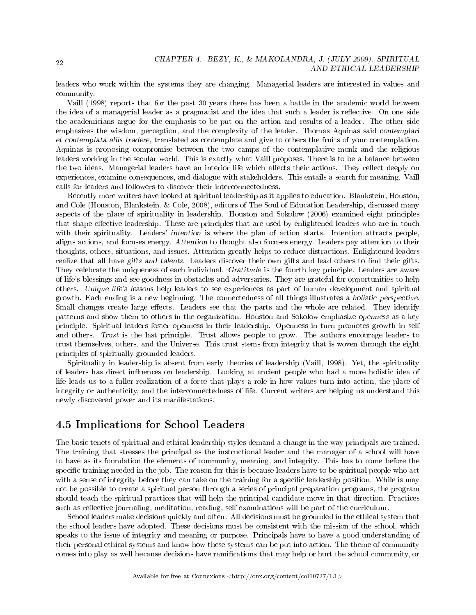leaders who work within the systems they are changing. Managerial leaders are interested in values and community.

Vaill (1998) reports that for the past 30 years there has been a battle in the academic world between the idea of a managerial leader as a pragmatist and the idea that such a leader is reflective. On one side the academicians argue for the emphasis to be put on the action and results of a leader. The other side emphasizes the wisdom, perception, and the complexity of the leader. Thomas Aquinas said contemplari et contemplata aliis tradere, translated as contemplate and give to others the fruits of your contemplation. Aquinas is proposing compromise between the two camps of the contemplative monk and the religious leaders working in the secular world. This is exactly what Vaill proposes. There is to be a balance between the two ideas. Managerial leaders have an interior life which affects their actions. They reflect deeply on experiences, examine consequences, and dialogue with stakeholders. This entails a search for meaning. Vaill calls for leaders and followers to discover their interconnectedness.

Recently more writers have looked at spiritual leadership as it applies to education. Blankstein, Houston, and Cole (Houston, Blankstein, & Cole, 2008), editors of The Soul of Education Leadership, discussed many aspects of the place of spirituality in leadership. Houston and Sokolow (2006) examined eight principles that shape effective leadership. These are principles that are used by enlightened leaders who are in touch with their spirituality. Leaders' intention is where the plan of action starts. Intention attracts people, aligns actions, and focuses energy. Attention to thought also focuses energy. Leaders pay attention to their thoughts, others, situations, and issues. Attention greatly helps to reduce distractions. Enlightened leaders realize that all have gifts and talents. Leaders discover their own gifts and lead others to find their gifts. They celebrate the uniqueness of each individual. Gratitude is the fourth key principle. Leaders are aware of life's blessings and see goodness in obstacles and adversaries. They are grateful for opportunities to help others. Unique life's lessons help leaders to see experiences as part of human development and spiritual growth. Each ending is a new beginning. The connectedness of all things illustrates a holistic perspective. Small changes create large effects. Leaders see that the parts and the whole are related. They identify patterns and show them to others in the organization. Houston and Sokolow emphasize openness as a key principle. Spiritual leaders foster openness in their leadership. Openness in turn promotes growth in self and others. Trust is the last principle. Trust allows people to grow. The authors encourage leaders to trust themselves, others, and the Universe. This trust stems from integrity that is woven through the eight principles of spiritually grounded leaders.

Spirituality in leadership is absent from early theories of leadership (Vaill, 1998). Yet, the spirituality of leaders has direct influences on leadership. Looking at ancient people who had a more holistic idea of life leads us to a fuller realization of a force that plays a role in how values turn into action, the place of integrity or authenticity, and the interconnectedness of life. Current writers are helping us understand this newly discovered power and its manifestations.

#### 4.5 Implications for School Leaders

The basic tenets of spiritual and ethical leadership styles demand a change in the way principals are trained. The training that stresses the principal as the instructional leader and the manager of a school will have to have as its foundation the elements of community, meaning, and integrity. This has to come before the specific training needed in the job. The reason for this is because leaders have to be spiritual people who act with a sense of integrity before they can take on the training for a specific leadership position. While is may not be possible to create a spiritual person through a series of principal preparation programs, the program should teach the spiritual practices that will help the principal candidate move in that direction. Practices such as reflective journaling, meditation, reading, self examinations will be part of the curriculum.

School leaders make decisions quickly and often. All decisions must be grounded in the ethical system that the school leaders have adopted. These decisions must be consistent with the mission of the school, which speaks to the issue of integrity and meaning or purpose. Principals have to have a good understanding of their personal ethical systems and know how these systems can be put into action. The theme of community comes into play as well because decisions have ramications that may help or hurt the school community, or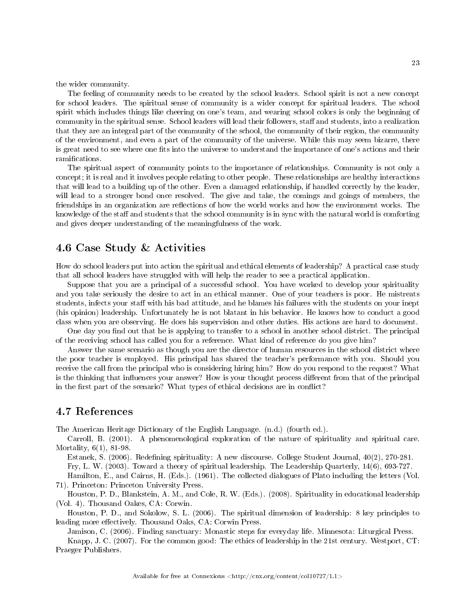the wider community.

The feeling of community needs to be created by the school leaders. School spirit is not a new concept for school leaders. The spiritual sense of community is a wider concept for spiritual leaders. The school spirit which includes things like cheering on one's team, and wearing school colors is only the beginning of community in the spiritual sense. School leaders will lead their followers, staff and students, into a realization that they are an integral part of the community of the school, the community of their region, the community of the environment, and even a part of the community of the universe. While this may seem bizarre, there is great need to see where one fits into the universe to understand the importance of one's actions and their ramifications.

The spiritual aspect of community points to the importance of relationships. Community is not only a concept; it is real and it involves people relating to other people. These relationships are healthy interactions that will lead to a building up of the other. Even a damaged relationship, if handled correctly by the leader, will lead to a stronger bond once resolved. The give and take, the comings and goings of members, the friendships in an organization are reflections of how the world works and how the environment works. The knowledge of the staff and students that the school community is in sync with the natural world is comforting and gives deeper understanding of the meaningfulness of the work.

#### 4.6 Case Study & Activities

How do school leaders put into action the spiritual and ethical elements of leadership? A practical case study that all school leaders have struggled with will help the reader to see a practical application.

Suppose that you are a principal of a successful school. You have worked to develop your spirituality and you take seriously the desire to act in an ethical manner. One of your teachers is poor. He mistreats students, infects your staff with his bad attitude, and he blames his failures with the students on your inept (his opinion) leadership. Unfortunately he is not blatant in his behavior. He knows how to conduct a good class when you are observing. He does his supervision and other duties. His actions are hard to document.

One day you find out that he is applying to transfer to a school in another school district. The principal of the receiving school has called you for a reference. What kind of reference do you give him?

Answer the same scenario as though you are the director of human resources in the school district where the poor teacher is employed. His principal has shared the teacher's performance with you. Should you receive the call from the principal who is considering hiring him? How do you respond to the request? What is the thinking that influences your answer? How is your thought process different from that of the principal in the first part of the scenario? What types of ethical decisions are in conflict?

#### 4.7 References

The American Heritage Dictionary of the English Language. (n.d.) (fourth ed.).

Carroll, B. (2001). A phenomenological exploration of the nature of spirituality and spiritual care. Mortality, 6(1), 81-98.

Estanek, S. (2006). Redening spirituality: A new discourse. College Student Journal, 40(2), 270-281.

Fry, L. W. (2003). Toward a theory of spiritual leadership. The Leadership Quarterly, 14(6), 693-727.

Hamilton, E., and Cairns, H. (Eds.). (1961). The collected dialogues of Plato including the letters (Vol. 71). Princeton: Princeton University Press.

Houston, P. D., Blankstein, A. M., and Cole, R. W. (Eds.). (2008). Spirituality in educational leadership (Vol. 4). Thousand Oakes, CA: Corwin.

Houston, P. D., and Sokolow, S. L. (2006). The spiritual dimension of leadership: 8 key principles to leading more effectively. Thousand Oaks, CA: Corwin Press.

Jamison, C. (2006). Finding sanctuary: Monastic steps for everyday life. Minnesota: Liturgical Press.

Knapp, J. C. (2007). For the common good: The ethics of leadership in the 21st century. Westport, CT: Praeger Publishers.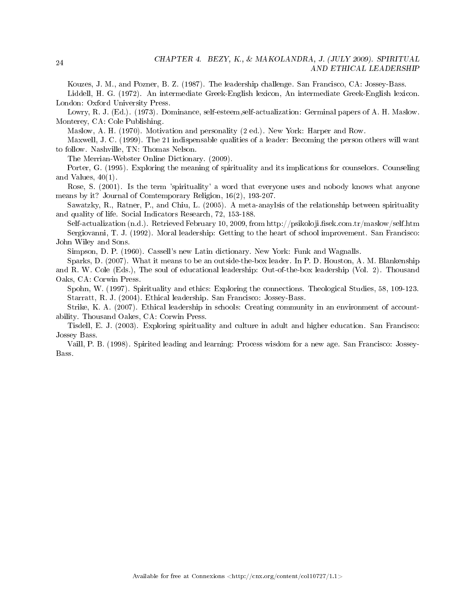Kouzes, J. M., and Pozner, B. Z. (1987). The leadership challenge. San Francisco, CA: Jossey-Bass.

Liddell, H. G. (1972). An intermediate Greek-English lexicon, An intermediate Greek-English lexicon. London: Oxford University Press.

Lowry, R. J. (Ed.). (1973). Dominance, self-esteem,self-actualization: Germinal papers of A. H. Maslow. Monterey, CA: Cole Publishing.

Maslow, A. H. (1970). Motivation and personality (2 ed.). New York: Harper and Row.

Maxwell, J. C. (1999). The 21 indispensable qualities of a leader: Becoming the person others will want to follow. Nashville, TN: Thomas Nelson.

The Merrian-Webster Online Dictionary. (2009).

Porter, G. (1995). Exploring the meaning of spirituality and its implications for counselors. Counseling and Values,  $40(1)$ .

Rose, S. (2001). Is the term 'spirituality' a word that everyone uses and nobody knows what anyone means by it? Journal of Comtemporary Religion, 16(2), 193-207.

Sawatzky, R., Ratner, P., and Chiu, L. (2005). A meta-anaylsis of the relationship between spirituality and quality of life. Social Indicators Research, 72, 153-188.

Self-actualization (n.d.). Retrieved February 10, 2009, from http://psikoloji.fisek.com.tr/maslow/self.htm Sergiovanni, T. J. (1992). Moral leadership: Getting to the heart of school improvement. San Francisco: John Wiley and Sons.

Simpson, D. P. (1960). Cassell's new Latin dictionary. New York: Funk and Wagnalls.

Sparks, D. (2007). What it means to be an outside-the-box leader. In P. D. Houston, A. M. Blankenship and R. W. Cole (Eds.), The soul of educational leadership: Out-of-the-box leadership (Vol. 2). Thousand Oaks, CA: Corwin Press.

Spohn, W. (1997). Spirituality and ethics: Exploring the connections. Theological Studies, 58, 109-123. Starratt, R. J. (2004). Ethical leadership. San Francisco: Jossey-Bass.

Strike, K. A. (2007). Ethical leadership in schools: Creating community in an environment of accountability. Thousand Oakes, CA: Corwin Press.

Tisdell, E. J. (2003). Exploring spirituality and culture in adult and higher education. San Francisco: Jossey Bass.

Vaill, P. B. (1998). Spirited leading and learning: Process wisdom for a new age. San Francisco: Jossey-Bass.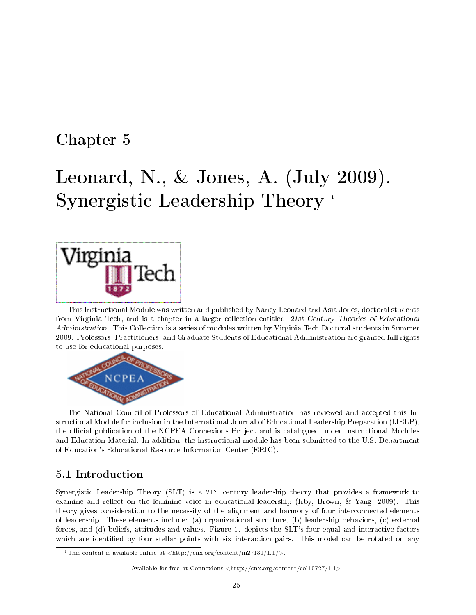### Chapter 5

## Leonard, N., & Jones, A. (July 2009). Synergistic Leadership Theory<sup>1</sup>



This Instructional Module was written and published by Nancy Leonard and Asia Jones, doctoral students from Virginia Tech, and is a chapter in a larger collection entitled, 21st Century Theories of Educational Administration. This Collection is a series of modules written by Virginia Tech Doctoral students in Summer 2009. Professors, Practitioners, and Graduate Students of Educational Administration are granted full rights to use for educational purposes.



The National Council of Professors of Educational Administration has reviewed and accepted this Instructional Module for inclusion in the International Journal of Educational Leadership Preparation (IJELP), the official publication of the NCPEA Connexions Project and is catalogued under Instructional Modules and Education Material. In addition, the instructional module has been submitted to the U.S. Department of Education's Educational Resource Information Center (ERIC).

### 5.1 Introduction

Synergistic Leadership Theory (SLT) is a  $21^{st}$  century leadership theory that provides a framework to examine and reflect on the feminine voice in educational leadership (Irby, Brown,  $&$  Yang, 2009). This theory gives consideration to the necessity of the alignment and harmony of four interconnected elements of leadership. These elements include: (a) organizational structure, (b) leadership behaviors, (c) external forces, and (d) beliefs, attitudes and values. Figure 1. depicts the SLT's four equal and interactive factors which are identified by four stellar points with six interaction pairs. This model can be rotated on any

<sup>&</sup>lt;sup>1</sup>This content is available online at  $\langle \text{http://cnx.org/content/m27130/1.1/}>$ .

Available for free at Connexions <http://cnx.org/content/col10727/1.1>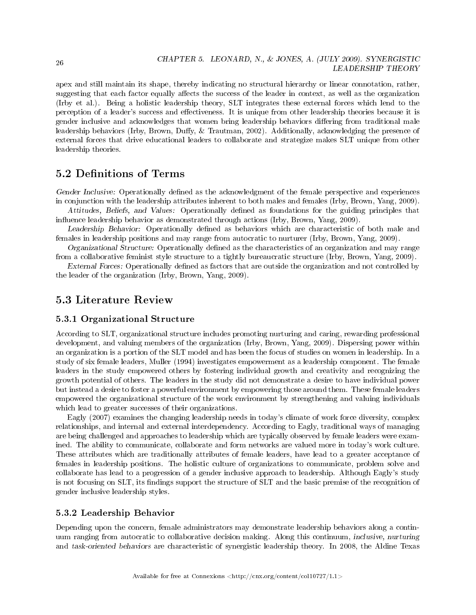apex and still maintain its shape, thereby indicating no structural hierarchy or linear connotation, rather, suggesting that each factor equally affects the success of the leader in context, as well as the organization (Irby et al.). Being a holistic leadership theory, SLT integrates these external forces which lend to the perception of a leader's success and effectiveness. It is unique from other leadership theories because it is gender inclusive and acknowledges that women bring leadership behaviors differing from traditional male leadership behaviors (Irby, Brown, Duffy, & Trautman, 2002). Additionally, acknowledging the presence of external forces that drive educational leaders to collaborate and strategize makes SLT unique from other leadership theories.

#### 5.2 Definitions of Terms

Gender Inclusive: Operationally defined as the acknowledgment of the female perspective and experiences in conjunction with the leadership attributes inherent to both males and females (Irby, Brown, Yang, 2009).

Attitudes, Beliefs, and Values: Operationally defined as foundations for the guiding principles that influence leadership behavior as demonstrated through actions (Irby, Brown, Yang, 2009).

Leadership Behavior: Operationally defined as behaviors which are characteristic of both male and females in leadership positions and may range from autocratic to nurturer (Irby, Brown, Yang, 2009).

Organizational Structure: Operationally dened as the characteristics of an organization and may range from a collaborative feminist style structure to a tightly bureaucratic structure (Irby, Brown, Yang, 2009).

External Forces: Operationally defined as factors that are outside the organization and not controlled by the leader of the organization (Irby, Brown, Yang, 2009).

#### 5.3 Literature Review

#### 5.3.1 Organizational Structure

According to SLT, organizational structure includes promoting nurturing and caring, rewarding professional development, and valuing members of the organization (Irby, Brown, Yang, 2009). Dispersing power within an organization is a portion of the SLT model and has been the focus of studies on women in leadership. In a study of six female leaders, Muller (1994) investigates empowerment as a leadership component. The female leaders in the study empowered others by fostering individual growth and creativity and recognizing the growth potential of others. The leaders in the study did not demonstrate a desire to have individual power but instead a desire to foster a powerful environment by empowering those around them. These female leaders empowered the organizational structure of the work environment by strengthening and valuing individuals which lead to greater successes of their organizations.

Eagly (2007) examines the changing leadership needs in today's climate of work force diversity, complex relationships, and internal and external interdependency. According to Eagly, traditional ways of managing are being challenged and approaches to leadership which are typically observed by female leaders were examined. The ability to communicate, collaborate and form networks are valued more in today's work culture. These attributes which are traditionally attributes of female leaders, have lead to a greater acceptance of females in leadership positions. The holistic culture of organizations to communicate, problem solve and collaborate has lead to a progression of a gender inclusive approach to leadership. Although Eagly's study is not focusing on SLT, its findings support the structure of SLT and the basic premise of the recognition of gender inclusive leadership styles.

#### 5.3.2 Leadership Behavior

Depending upon the concern, female administrators may demonstrate leadership behaviors along a continuum ranging from autocratic to collaborative decision making. Along this continuum, inclusive, nurturing and task-oriented behaviors are characteristic of synergistic leadership theory. In 2008, the Aldine Texas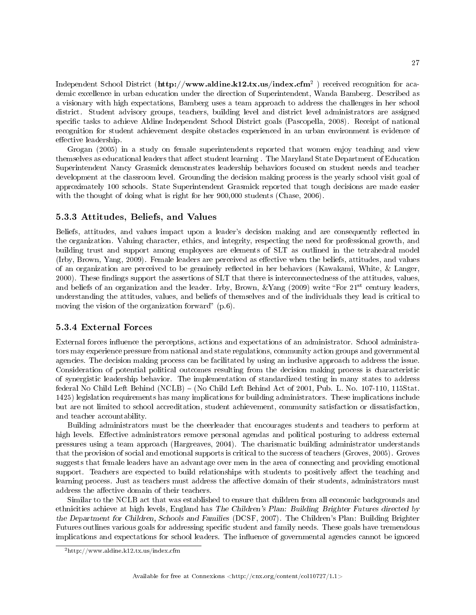Independent School District ( $\text{http://www.aldine.k12.txt.us/index.cfm}^2$ ) received recognition for academic excellence in urban education under the direction of Superintendent, Wanda Bamberg. Described as a visionary with high expectations, Bamberg uses a team approach to address the challenges in her school district. Student advisory groups, teachers, building level and district level administrators are assigned specific tasks to achieve Aldine Independent School District goals (Pascopella, 2008). Receipt of national recognition for student achievement despite obstacles experienced in an urban environment is evidence of effective leadership.

Grogan (2005) in a study on female superintendents reported that women enjoy teaching and view themselves as educational leaders that affect student learning . The Maryland State Department of Education Superintendent Nancy Grasmick demonstrates leadership behaviors focused on student needs and teacher development at the classroom level. Grounding the decision making process is the yearly school visit goal of approximately 100 schools. State Superintendent Grasmick reported that tough decisions are made easier with the thought of doing what is right for her 900,000 students (Chase, 2006).

#### 5.3.3 Attitudes, Beliefs, and Values

Beliefs, attitudes, and values impact upon a leader's decision making and are consequently reflected in the organization. Valuing character, ethics, and integrity, respecting the need for professional growth, and building trust and support among employees are elements of SLT as outlined in the tetrahedral model (Irby, Brown, Yang, 2009). Female leaders are perceived as effective when the beliefs, attitudes, and values of an organization are perceived to be genuinely reflected in her behaviors (Kawakami, White, & Langer, 2000). These findings support the assertions of SLT that there is interconnectedness of the attitudes, values, and beliefs of an organization and the leader. Irby, Brown,  $\&$  Yang (2009) write "For 21<sup>st</sup> century leaders, understanding the attitudes, values, and beliefs of themselves and of the individuals they lead is critical to moving the vision of the organization forward"  $(p.6)$ .

#### 5.3.4 External Forces

External forces influence the perceptions, actions and expectations of an administrator. School administrators may experience pressure from national and state regulations, community action groups and governmental agencies. The decision making process can be facilitated by using an inclusive approach to address the issue. Consideration of potential political outcomes resulting from the decision making process is characteristic of synergistic leadership behavior. The implementation of standardized testing in many states to address federal No Child Left Behind (NCLB) - (No Child Left Behind Act of 2001, Pub. L. No. 107-110, 115Stat. 1425) legislation requirements has many implications for building administrators. These implications include but are not limited to school accreditation, student achievement, community satisfaction or dissatisfaction, and teacher accountability.

Building administrators must be the cheerleader that encourages students and teachers to perform at high levels. Effective administrators remove personal agendas and political posturing to address external pressures using a team approach (Hargreaves, 2004). The charismatic building administrator understands that the provision of social and emotional supports is critical to the success of teachers (Groves, 2005). Groves suggests that female leaders have an advantage over men in the area of connecting and providing emotional support. Teachers are expected to build relationships with students to positively affect the teaching and learning process. Just as teachers must address the affective domain of their students, administrators must address the affective domain of their teachers.

Similar to the NCLB act that was established to ensure that children from all economic backgrounds and ethnicities achieve at high levels, England has The Children's Plan: Building Brighter Futures directed by the Department for Children, Schools and Families (DCSF, 2007). The Children's Plan: Building Brighter Futures outlines various goals for addressing specific student and family needs. These goals have tremendous implications and expectations for school leaders. The influence of governmental agencies cannot be ignored

<sup>2</sup>http://www.aldine.k12.tx.us/index.cfm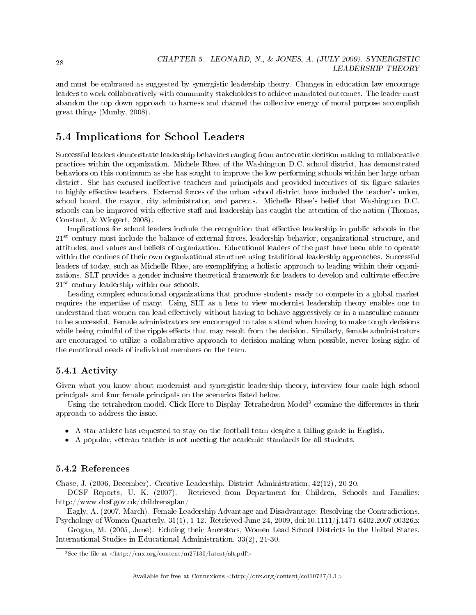and must be embraced as suggested by synergistic leadership theory. Changes in education law encourage leaders to work collaboratively with community stakeholders to achieve mandated outcomes. The leader must abandon the top down approach to harness and channel the collective energy of moral purpose accomplish great things (Munby, 2008).

#### 5.4 Implications for School Leaders

Successful leaders demonstrate leadership behaviors ranging from autocratic decision making to collaborative practices within the organization. Michele Rhee, of the Washington D.C. school district, has demonstrated behaviors on this continuum as she has sought to improve the low performing schools within her large urban district. She has excused ineffective teachers and principals and provided incentives of six figure salaries to highly effective teachers. External forces of the urban school district have included the teacher's union, school board, the mayor, city administrator, and parents. Michelle Rhee's belief that Washington D.C. schools can be improved with effective staff and leadership has caught the attention of the nation (Thomas, Constant, & Wingert, 2008).

Implications for school leaders include the recognition that effective leadership in public schools in the 21<sup>st</sup> century must include the balance of external forces, leadership behavior, organizational structure, and attitudes, and values and beliefs of organization. Educational leaders of the past have been able to operate within the confines of their own organizational structure using traditional leadership approaches. Successful leaders of today, such as Michelle Rhee, are exemplifying a holistic approach to leading within their organizations. SLT provides a gender inclusive theoretical framework for leaders to develop and cultivate effective 21<sup>st</sup> century leadership within our schools.

Leading complex educational organizations that produce students ready to compete in a global market requires the expertise of many. Using SLT as a lens to view modernist leadership theory enables one to understand that women can lead effectively without having to behave aggressively or in a masculine manner to be successful. Female administrators are encouraged to take a stand when having to make tough decisions while being mindful of the ripple effects that may result from the decision. Similarly, female administrators are encouraged to utilize a collaborative approach to decision making when possible, never losing sight of the emotional needs of individual members on the team.

#### 5.4.1 Activity

Given what you know about modernist and synergistic leadership theory, interview four male high school principals and four female principals on the scenarios listed below.

Using the tetrahedron model, Click Here to Display Tetrahedron Model<sup>3</sup> examine the differences in their approach to address the issue.

- A star athlete has requested to stay on the football team despite a failing grade in English.
- A popular, veteran teacher is not meeting the academic standards for all students.

#### 5.4.2 References

Chase, J. (2006, December). Creative Leadership. District Administration, 42(12), 20-20.

DCSF Reports, U. K. (2007). Retrieved from Department for Children, Schools and Families: http://www.dcsf.gov.uk/childrensplan/

Eagly, A. (2007, March). Female Leadership Advantage and Disadvantage: Resolving the Contradictions. Psychology of Women Quarterly, 31(1), 1-12. Retrieved June 24, 2009, doi:10.1111/j.1471-6402.2007.00326.x

Grogan, M. (2005, June). Echoing their Ancestors, Women Lead School Districts in the United States. International Studies in Educational Administration, 33(2), 21-30.

<sup>&</sup>lt;sup>3</sup>See the file at  $\langle \text{http://cnx.org/content/m27130/lates/slt.pdf} \rangle$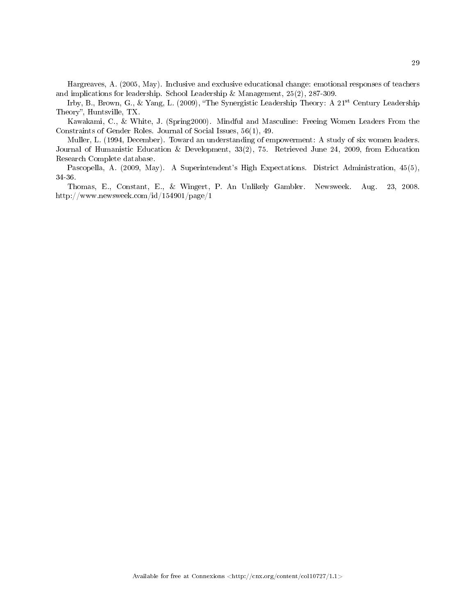Hargreaves, A. (2005, May). Inclusive and exclusive educational change: emotional responses of teachers and implications for leadership. School Leadership & Management, 25(2), 287-309.

Irby, B., Brown, G., & Yang, L. (2009), The Synergistic Leadership Theory: A 21st Century Leadership Theory", Huntsville, TX.

Kawakami, C., & White, J. (Spring2000). Mindful and Masculine: Freeing Women Leaders From the Constraints of Gender Roles. Journal of Social Issues, 56(1), 49.

Muller, L. (1994, December). Toward an understanding of empowerment: A study of six women leaders. Journal of Humanistic Education & Development, 33(2), 75. Retrieved June 24, 2009, from Education Research Complete database.

Pascopella, A. (2009, May). A Superintendent's High Expectations. District Administration, 45(5), 34-36.

Thomas, E., Constant, E., & Wingert, P. An Unlikely Gambler. Newsweek. Aug. 23, 2008. http://www.newsweek.com/id/154901/page/1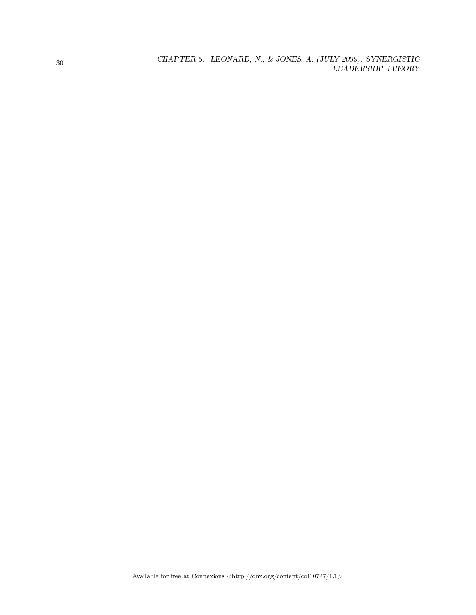30 CHAPTER 5. LEONARD, N., & JONES, A. (JULY 2009). SYNERGISTIC LEADERSHIP THEORY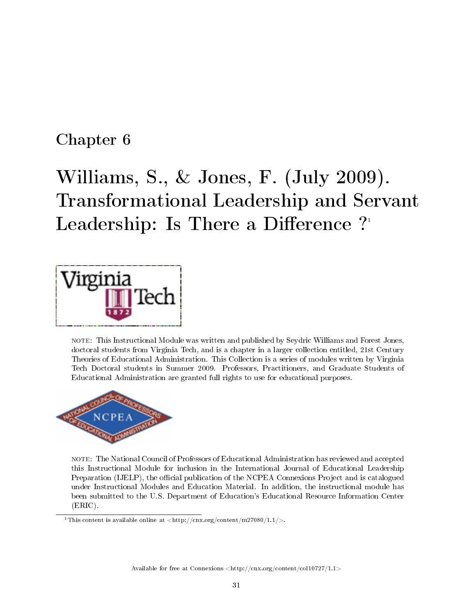## Chapter 6

# Williams, S., & Jones, F. (July 2009). Transformational Leadership and Servant Leadership: Is There a Difference  $?$



note: This Instructional Module was written and published by Seydric Williams and Forest Jones, doctoral students from Virginia Tech, and is a chapter in a larger collection entitled, 21st Century Theories of Educational Administration. This Collection is a series of modules written by Virginia Tech Doctoral students in Summer 2009. Professors, Practitioners, and Graduate Students of Educational Administration are granted full rights to use for educational purposes.



note: The National Council of Professors of Educational Administration has reviewed and accepted this Instructional Module for inclusion in the International Journal of Educational Leadership Preparation (IJELP), the official publication of the NCPEA Connexions Project and is catalogued under Instructional Modules and Education Material. In addition, the instructional module has been submitted to the U.S. Department of Education's Educational Resource Information Center (ERIC).

Available for free at Connexions <http://cnx.org/content/col10727/1.1>

<sup>&</sup>lt;sup>1</sup>This content is available online at  $\langle \text{http://cnx.org/content/m27080/1.1}/\rangle$ .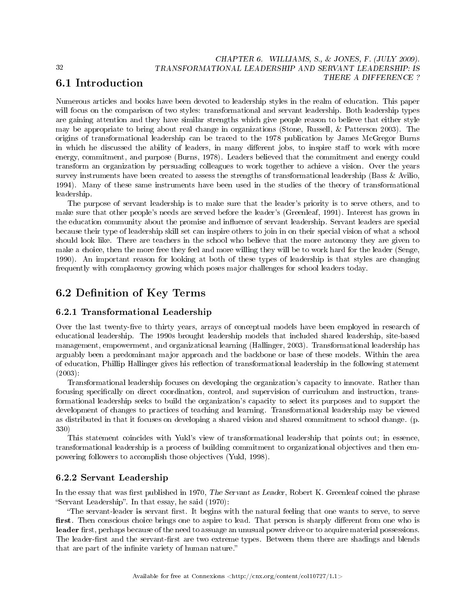#### CHAPTER 6. WILLIAMS, S., & JONES, F. (JULY 2009). TRANSFORMATIONAL LEADERSHIP AND SERVANT LEADERSHIP: IS 6.1 Introduction **6.1 Introduction 6.1** Introduction

Numerous articles and books have been devoted to leadership styles in the realm of education. This paper will focus on the comparison of two styles: transformational and servant leadership. Both leadership types are gaining attention and they have similar strengths which give people reason to believe that either style may be appropriate to bring about real change in organizations (Stone, Russell, & Patterson 2003). The origins of transformational leadership can be traced to the 1978 publication by James McGregor Burns in which he discussed the ability of leaders, in many different jobs, to inspire staff to work with more energy, commitment, and purpose (Burns, 1978). Leaders believed that the commitment and energy could transform an organization by persuading colleagues to work together to achieve a vision. Over the years survey instruments have been created to assess the strengths of transformational leadership (Bass & Avilio, 1994). Many of these same instruments have been used in the studies of the theory of transformational leadership.

The purpose of servant leadership is to make sure that the leader's priority is to serve others, and to make sure that other people's needs are served before the leader's (Greenleaf, 1991). Interest has grown in the education community about the promise and influence of servant leadership. Servant leaders are special because their type of leadership skill set can inspire others to join in on their special vision of what a school should look like. There are teachers in the school who believe that the more autonomy they are given to make a choice, then the more free they feel and more willing they will be to work hard for the leader (Senge, 1990). An important reason for looking at both of these types of leadership is that styles are changing frequently with complacency growing which poses major challenges for school leaders today.

#### 6.2 Definition of Key Terms

#### 6.2.1 Transformational Leadership

Over the last twenty-five to thirty years, arrays of conceptual models have been employed in research of educational leadership. The 1990s brought leadership models that included shared leadership, site-based management, empowerment, and organizational learning (Hallinger, 2003). Transformational leadership has arguably been a predominant major approach and the backbone or base of these models. Within the area of education, Phillip Hallinger gives his reflection of transformational leadership in the following statement (2003):

Transformational leadership focuses on developing the organization's capacity to innovate. Rather than focusing specifically on direct coordination, control, and supervision of curriculum and instruction, transformational leadership seeks to build the organization's capacity to select its purposes and to support the development of changes to practices of teaching and learning. Transformational leadership may be viewed as distributed in that it focuses on developing a shared vision and shared commitment to school change. (p. 330)

This statement coincides with Yukl's view of transformational leadership that points out; in essence, transformational leadership is a process of building commitment to organizational objectives and then empowering followers to accomplish those objectives (Yukl, 1998).

#### 6.2.2 Servant Leadership

In the essay that was first published in 1970, The Servant as Leader, Robert K. Greenleaf coined the phrase "Servant Leadership". In that essay, he said  $(1970)$ :

"The servant-leader is servant first. It begins with the natural feeling that one wants to serve, to serve first. Then conscious choice brings one to aspire to lead. That person is sharply different from one who is leader first, perhaps because of the need to assuage an unusual power drive or to acquire material possessions. The leader-first and the servant-first are two extreme types. Between them there are shadings and blends that are part of the infinite variety of human nature."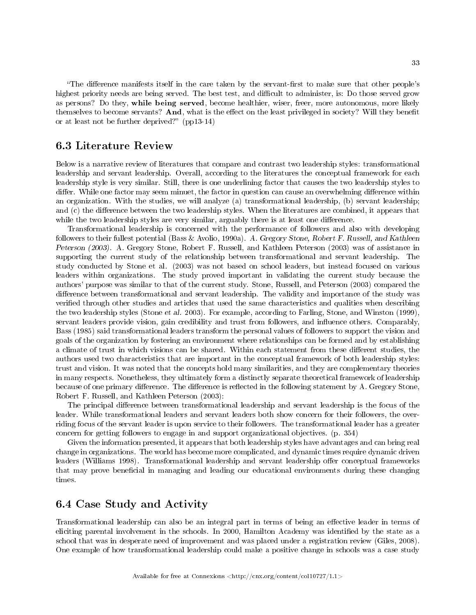"The difference manifests itself in the care taken by the servant-first to make sure that other people's highest priority needs are being served. The best test, and difficult to administer, is: Do those served grow as persons? Do they, while being served, become healthier, wiser, freer, more autonomous, more likely themselves to become servants? And, what is the effect on the least privileged in society? Will they benefit or at least not be further deprived?"  $(pp13-14)$ 

#### 6.3 Literature Review

Below is a narrative review of literatures that compare and contrast two leadership styles: transformational leadership and servant leadership. Overall, according to the literatures the conceptual framework for each leadership style is very similar. Still, there is one underlining factor that causes the two leadership styles to differ. While one factor may seem minuet, the factor in question can cause an overwhelming difference within an organization. With the studies, we will analyze (a) transformational leadership, (b) servant leadership; and (c) the difference between the two leadership styles. When the literatures are combined, it appears that while the two leadership styles are very similar, arguably there is at least one difference.

Transformational leadership is concerned with the performance of followers and also with developing followers to their fullest potential (Bass & Avolio, 1990a). A. Gregory Stone, Robert F. Russell, and Kathleen Peterson (2003). A. Gregory Stone, Robert F. Russell, and Kathleen Peterson (2003) was of assistance in supporting the current study of the relationship between transformational and servant leadership. The study conducted by Stone et al. (2003) was not based on school leaders, but instead focused on various leaders within organizations. The study proved important in validating the current study because the authors' purpose was similar to that of the current study. Stone, Russell, and Peterson (2003) compared the difference between transformational and servant leadership. The validity and importance of the study was verified through other studies and articles that used the same characteristics and qualities when describing the two leadership styles (Stone et al. 2003). For example, according to Farling, Stone, and Winston (1999), servant leaders provide vision, gain credibility and trust from followers, and influence others. Comparably, Bass (1985) said transformational leaders transform the personal values of followers to support the vision and goals of the organization by fostering an environment where relationships can be formed and by establishing a climate of trust in which visions can be shared. Within each statement from these different studies, the authors used two characteristics that are important in the conceptual framework of both leadership styles: trust and vision. It was noted that the concepts hold many similarities, and they are complementary theories in many respects. Nonetheless, they ultimately form a distinctly separate theoretical framework of leadership because of one primary difference. The difference is reflected in the following statement by A. Gregory Stone, Robert F. Russell, and Kathleen Peterson (2003):

The principal difference between transformational leadership and servant leadership is the focus of the leader. While transformational leaders and servant leaders both show concern for their followers, the overriding focus of the servant leader is upon service to their followers. The transformational leader has a greater concern for getting followers to engage in and support organizational objectives. (p. 354)

Given the information presented, it appears that both leadership styles have advantages and can bring real change in organizations. The world has become more complicated, and dynamic times require dynamic driven leaders (Williams 1998). Transformational leadership and servant leadership offer conceptual frameworks that may prove beneficial in managing and leading our educational environments during these changing times.

#### 6.4 Case Study and Activity

Transformational leadership can also be an integral part in terms of being an effective leader in terms of eliciting parental involvement in the schools. In 2000, Hamilton Academy was identified by the state as a school that was in desperate need of improvement and was placed under a registration review (Giles, 2008). One example of how transformational leadership could make a positive change in schools was a case study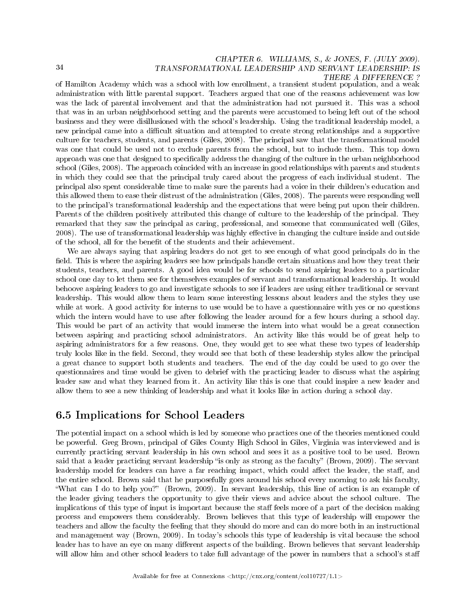#### CHAPTER 6. WILLIAMS, S., & JONES, F. (JULY 2009). TRANSFORMATIONAL LEADERSHIP AND SERVANT LEADERSHIP: IS THERE A DIFFERENCE ?

of Hamilton Academy which was a school with low enrollment, a transient student population, and a weak administration with little parental support. Teachers argued that one of the reasons achievement was low was the lack of parental involvement and that the administration had not pursued it. This was a school that was in an urban neighborhood setting and the parents were accustomed to being left out of the school business and they were disillusioned with the school's leadership. Using the traditional leadership model, a new principal came into a difficult situation and attempted to create strong relationships and a supportive culture for teachers, students, and parents (Giles, 2008). The principal saw that the transformational model was one that could be used not to exclude parents from the school, but to include them. This top down approach was one that designed to specifically address the changing of the culture in the urban neighborhood school (Giles, 2008). The approach coincided with an increase in good relationships with parents and students in which they could see that the principal truly cared about the progress of each individual student. The principal also spent considerable time to make sure the parents had a voice in their children's education and this allowed them to ease their distrust of the administration (Giles, 2008). The parents were responding well to the principal's transformational leadership and the expectations that were being put upon their children. Parents of the children positively attributed this change of culture to the leadership of the principal. They remarked that they saw the principal as caring, professional, and someone that communicated well (Giles, 2008). The use of transformational leadership was highly effective in changing the culture inside and outside of the school, all for the benefit of the students and their achievement.

We are always saying that aspiring leaders do not get to see enough of what good principals do in the field. This is where the aspiring leaders see how principals handle certain situations and how they treat their students, teachers, and parents. A good idea would be for schools to send aspiring leaders to a particular school one day to let them see for themselves examples of servant and transformational leadership. It would behoove aspiring leaders to go and investigate schools to see if leaders are using either traditional or servant leadership. This would allow them to learn some interesting lessons about leaders and the styles they use while at work. A good activity for interns to use would be to have a questionnaire with yes or no questions which the intern would have to use after following the leader around for a few hours during a school day. This would be part of an activity that would immerse the intern into what would be a great connection between aspiring and practicing school administrators. An activity like this would be of great help to aspiring administrators for a few reasons. One, they would get to see what these two types of leadership truly looks like in the field. Second, they would see that both of these leadership styles allow the principal a great chance to support both students and teachers. The end of the day could be used to go over the questionnaires and time would be given to debrief with the practicing leader to discuss what the aspiring leader saw and what they learned from it. An activity like this is one that could inspire a new leader and allow them to see a new thinking of leadership and what it looks like in action during a school day.

#### 6.5 Implications for School Leaders

The potential impact on a school which is led by someone who practices one of the theories mentioned could be powerful. Greg Brown, principal of Giles County High School in Giles, Virginia was interviewed and is currently practicing servant leadership in his own school and sees it as a positive tool to be used. Brown said that a leader practicing servant leadership "is only as strong as the faculty" (Brown, 2009). The servant leadership model for leaders can have a far reaching impact, which could affect the leader, the staff, and the entire school. Brown said that he purposefully goes around his school every morning to ask his faculty, "What can I do to help you?" (Brown, 2009). In servant leadership, this line of action is an example of the leader giving teachers the opportunity to give their views and advice about the school culture. The implications of this type of input is important because the staff feels more of a part of the decision making process and empowers them considerably. Brown believes that this type of leadership will empower the teachers and allow the faculty the feeling that they should do more and can do more both in an instructional and management way (Brown, 2009). In today's schools this type of leadership is vital because the school leader has to have an eye on many different aspects of the building. Brown believes that servant leadership will allow him and other school leaders to take full advantage of the power in numbers that a school's staff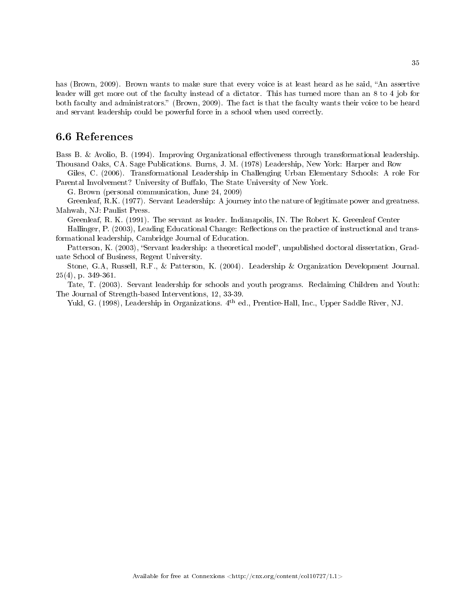has (Brown, 2009). Brown wants to make sure that every voice is at least heard as he said, "An assertive leader will get more out of the faculty instead of a dictator. This has turned more than an 8 to 4 job for both faculty and administrators." (Brown, 2009). The fact is that the faculty wants their voice to be heard and servant leadership could be powerful force in a school when used correctly.

#### 6.6 References

Bass B. & Avolio, B. (1994). Improving Organizational effectiveness through transformational leadership. Thousand Oaks, CA. Sage Publications. Burns, J. M. (1978) Leadership, New York: Harper and Row

Giles, C. (2006). Transformational Leadership in Challenging Urban Elementary Schools: A role For Parental Involvement? University of Buffalo, The State University of New York.

G. Brown (personal communication, June 24, 2009)

Greenleaf, R.K. (1977). Servant Leadership: A journey into the nature of legitimate power and greatness. Mahwah, NJ: Paulist Press.

Greenleaf, R. K. (1991). The servant as leader. Indianapolis, IN. The Robert K. Greenleaf Center

Hallinger, P. (2003), Leading Educational Change: Reflections on the practice of instructional and transformational leadership, Cambridge Journal of Education.

Patterson, K. (2003), "Servant leadership: a theoretical model", unpublished doctoral dissertation, Graduate School of Business, Regent University.

Stone, G.A, Russell, R.F., & Patterson, K. (2004). Leadership & Organization Development Journal. 25(4), p. 349-361.

Tate, T. (2003). Servant leadership for schools and youth programs. Reclaiming Children and Youth: The Journal of Strength-based Interventions, 12, 33-39.

Yukl, G. (1998), Leadership in Organizations.  $4<sup>th</sup>$  ed., Prentice-Hall, Inc., Upper Saddle River, NJ.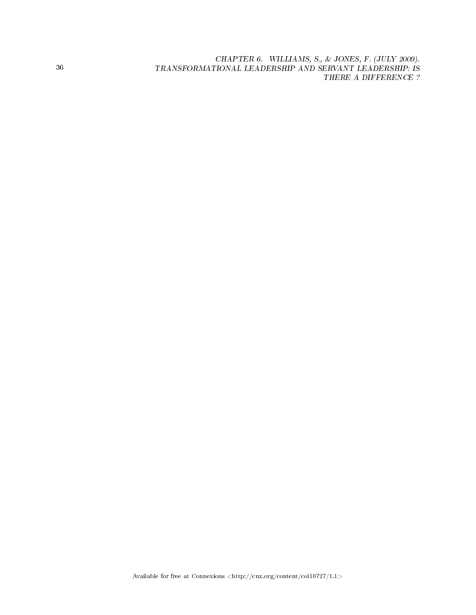CHAPTER 6. WILLIAMS, S., & JONES, F. (JULY 2009). TRANSFORMATIONAL LEADERSHIP AND SERVANT LEADERSHIP: IS THERE A DIFFERENCE ?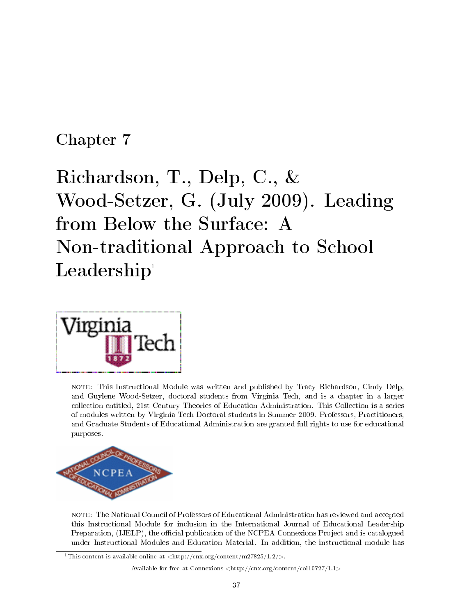Chapter 7

# Richardson, T., Delp, C., & Wood-Setzer, G. (July 2009). Leading from Below the Surface: A Non-traditional Approach to School  $Leadership<sup>1</sup>$



note: This Instructional Module was written and published by Tracy Richardson, Cindy Delp, and Guylene Wood-Setzer, doctoral students from Virginia Tech, and is a chapter in a larger collection entitled, 21st Century Theories of Education Administration. This Collection is a series of modules written by Virginia Tech Doctoral students in Summer 2009. Professors, Practitioners, and Graduate Students of Educational Administration are granted full rights to use for educational purposes.



note: The National Council of Professors of Educational Administration has reviewed and accepted this Instructional Module for inclusion in the International Journal of Educational Leadership Preparation, (IJELP), the official publication of the NCPEA Connexions Project and is catalogued under Instructional Modules and Education Material. In addition, the instructional module has

<sup>&</sup>lt;sup>1</sup>This content is available online at  $\langle \text{http://cnx.org/content/m27825/1.2}/\rangle$ .

Available for free at Connexions <http://cnx.org/content/col10727/1.1>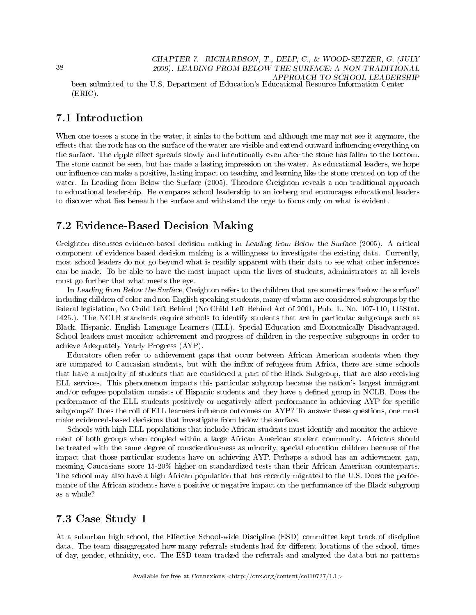CHAPTER 7. RICHARDSON, T., DELP, C., & WOOD-SETZER, G. (JULY 2009). LEADING FROM BELOW THE SURFACE: A NON-TRADITIONAL APPROACH TO SCHOOL LEADERSHIP been submitted to the U.S. Department of Education's Educational Resource Information Center (ERIC).

#### 7.1 Introduction

When one tosses a stone in the water, it sinks to the bottom and although one may not see it anymore, the effects that the rock has on the surface of the water are visible and extend outward influencing everything on the surface. The ripple effect spreads slowly and intentionally even after the stone has fallen to the bottom. The stone cannot be seen, but has made a lasting impression on the water. As educational leaders, we hope our influence can make a positive, lasting impact on teaching and learning like the stone created on top of the water. In Leading from Below the Surface (2005), Theodore Creighton reveals a non-traditional approach to educational leadership. He compares school leadership to an iceberg and encourages educational leaders to discover what lies beneath the surface and withstand the urge to focus only on what is evident.

#### 7.2 Evidence-Based Decision Making

Creighton discusses evidence-based decision making in Leading from Below the Surface (2005). A critical component of evidence based decision making is a willingness to investigate the existing data. Currently, most school leaders do not go beyond what is readily apparent with their data to see what other inferences can be made. To be able to have the most impact upon the lives of students, administrators at all levels must go further that what meets the eye.

In Leading from Below the Surface, Creighton refers to the children that are sometimes "below the surface" including children of color and non-English speaking students, many of whom are considered subgroups by the federal legislation, No Child Left Behind (No Child Left Behind Act of 2001, Pub. L. No. 107-110, 115Stat. 1425.). The NCLB standards require schools to identify students that are in particular subgroups such as Black, Hispanic, English Language Learners (ELL), Special Education and Economically Disadvantaged. School leaders must monitor achievement and progress of children in the respective subgroups in order to achieve Adequately Yearly Progress (AYP).

Educators often refer to achievement gaps that occur between African American students when they are compared to Caucasian students, but with the influx of refugees from Africa, there are some schools that have a majority of students that are considered a part of the Black Subgroup, that are also receiving ELL services. This phenomenon impacts this particular subgroup because the nation's largest immigrant and/or refugee population consists of Hispanic students and they have a dened group in NCLB. Does the performance of the ELL students positively or negatively affect performance in achieving AYP for specific subgroups? Does the roll of ELL learners influence outcomes on AYP? To answer these questions, one must make evidenced-based decisions that investigate from below the surface.

Schools with high ELL populations that include African students must identify and monitor the achievement of both groups when coupled within a large African American student community. Africans should be treated with the same degree of conscientiousness as minority, special education children because of the impact that those particular students have on achieving AYP. Perhaps a school has an achievement gap, meaning Caucasians score 15-20% higher on standardized tests than their African American counterparts. The school may also have a high African population that has recently migrated to the U.S. Does the performance of the African students have a positive or negative impact on the performance of the Black subgroup as a whole?

#### 7.3 Case Study 1

At a suburban high school, the Effective School-wide Discipline (ESD) committee kept track of discipline data. The team disaggregated how many referrals students had for different locations of the school, times of day, gender, ethnicity, etc. The ESD team tracked the referrals and analyzed the data but no patterns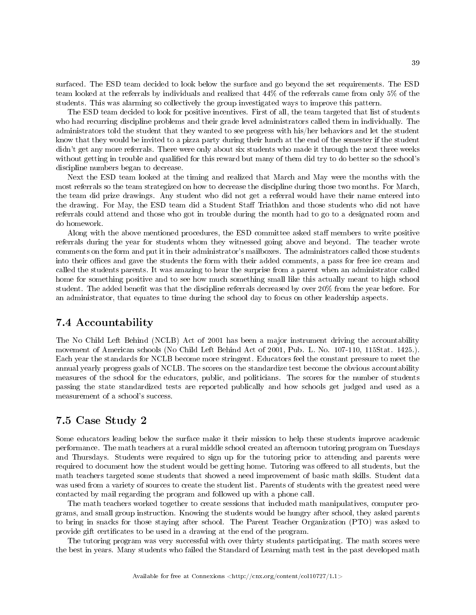surfaced. The ESD team decided to look below the surface and go beyond the set requirements. The ESD team looked at the referrals by individuals and realized that 44% of the referrals came from only 5% of the students. This was alarming so collectively the group investigated ways to improve this pattern.

The ESD team decided to look for positive incentives. First of all, the team targeted that list of students who had recurring discipline problems and their grade level administrators called them in individually. The administrators told the student that they wanted to see progress with his/her behaviors and let the student know that they would be invited to a pizza party during their lunch at the end of the semester if the student didn't get any more referrals. There were only about six students who made it through the next three weeks without getting in trouble and qualied for this reward but many of them did try to do better so the school's discipline numbers began to decrease.

Next the ESD team looked at the timing and realized that March and May were the months with the most referrals so the team strategized on how to decrease the discipline during those two months. For March, the team did prize drawings. Any student who did not get a referral would have their name entered into the drawing. For May, the ESD team did a Student Staff Triathlon and those students who did not have referrals could attend and those who got in trouble during the month had to go to a designated room and do homework.

Along with the above mentioned procedures, the ESD committee asked staff members to write positive referrals during the year for students whom they witnessed going above and beyond. The teacher wrote comments on the form and put it in their administrator's mailboxes. The administrators called those students into their offices and gave the students the form with their added comments, a pass for free ice cream and called the students parents. It was amazing to hear the surprise from a parent when an administrator called home for something positive and to see how much something small like this actually meant to high school student. The added benefit was that the discipline referrals decreased by over 20% from the year before. For an administrator, that equates to time during the school day to focus on other leadership aspects.

#### 7.4 Accountability

The No Child Left Behind (NCLB) Act of 2001 has been a major instrument driving the accountability movement of American schools (No Child Left Behind Act of 2001, Pub. L. No. 107-110, 115Stat. 1425.). Each year the standards for NCLB become more stringent. Educators feel the constant pressure to meet the annual yearly progress goals of NCLB. The scores on the standardize test become the obvious accountability measures of the school for the educators, public, and politicians. The scores for the number of students passing the state standardized tests are reported publically and how schools get judged and used as a measurement of a school's success.

#### 7.5 Case Study 2

Some educators leading below the surface make it their mission to help these students improve academic performance. The math teachers at a rural middle school created an afternoon tutoring program on Tuesdays and Thursdays. Students were required to sign up for the tutoring prior to attending and parents were required to document how the student would be getting home. Tutoring was offered to all students, but the math teachers targeted some students that showed a need improvement of basic math skills. Student data was used from a variety of sources to create the student list. Parents of students with the greatest need were contacted by mail regarding the program and followed up with a phone call.

The math teachers worked together to create sessions that included math manipulatives, computer programs, and small group instruction. Knowing the students would be hungry after school, they asked parents to bring in snacks for those staying after school. The Parent Teacher Organization (PTO) was asked to provide gift certificates to be used in a drawing at the end of the program.

The tutoring program was very successful with over thirty students participating. The math scores were the best in years. Many students who failed the Standard of Learning math test in the past developed math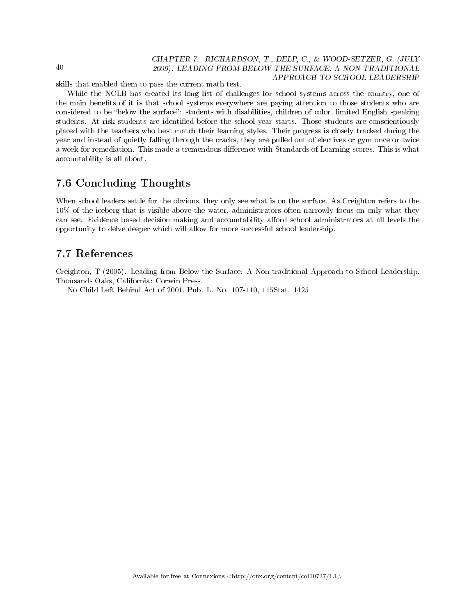#### CHAPTER 7. RICHARDSON, T., DELP, C., & WOOD-SETZER, G. (JULY 2009). LEADING FROM BELOW THE SURFACE: A NON-TRADITIONAL APPROACH TO SCHOOL LEADERSHIP

skills that enabled them to pass the current math test.

While the NCLB has created its long list of challenges for school systems across the country, one of the main benefits of it is that school systems everywhere are paying attention to those students who are considered to be "below the surface": students with disabilities, children of color, limited English speaking students. At risk students are identified before the school year starts. Those students are conscientiously placed with the teachers who best match their learning styles. Their progress is closely tracked during the year and instead of quietly falling through the cracks, they are pulled out of electives or gym once or twice a week for remediation. This made a tremendous difference with Standards of Learning scores. This is what accountability is all about.

#### 7.6 Concluding Thoughts

When school leaders settle for the obvious, they only see what is on the surface. As Creighton refers to the 10% of the iceberg that is visible above the water, administrators often narrowly focus on only what they can see. Evidence based decision making and accountability afford school administrators at all levels the opportunity to delve deeper which will allow for more successful school leadership.

#### 7.7 References

40

Creighton, T (2005). Leading from Below the Surface: A Non-traditional Approach to School Leadership. Thousands Oaks, California: Corwin Press.

No Child Left Behind Act of 2001, Pub. L. No. 107-110, 115Stat. 1425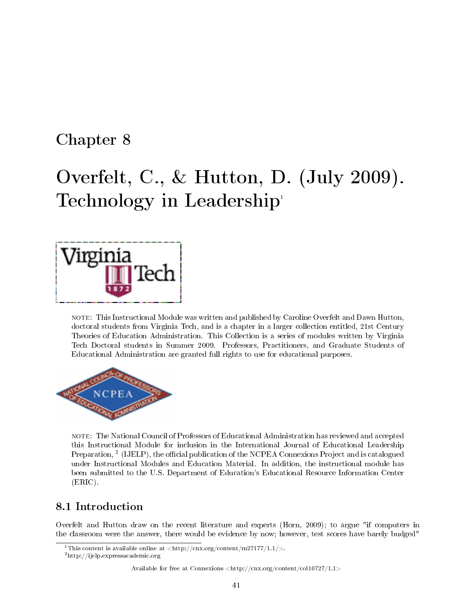### Chapter 8

## Overfelt, C., & Hutton, D. (July 2009). Technology in Leadership<sup>1</sup>



note: This Instructional Module was written and published by Caroline Overfelt and Dawn Hutton, doctoral students from Virginia Tech, and is a chapter in a larger collection entitled, 21st Century Theories of Education Administration. This Collection is a series of modules written by Virginia Tech Doctoral students in Summer 2009. Professors, Practitioners, and Graduate Students of Educational Administration are granted full rights to use for educational purposes.



NOTE: The National Council of Professors of Educational Administration has reviewed and accepted this Instructional Module for inclusion in the International Journal of Educational Leadership Preparation, <sup>2</sup> (IJELP), the official publication of the NCPEA Connexions Project and is catalogued under Instructional Modules and Education Material. In addition, the instructional module has been submitted to the U.S. Department of Education's Educational Resource Information Center (ERIC).

#### 8.1 Introduction

Overfelt and Hutton draw on the recent literature and experts (Horn, 2009); to argue "if computers in the classroom were the answer, there would be evidence by now; however, test scores have barely budged"

<sup>&</sup>lt;sup>1</sup>This content is available online at <http://cnx.org/content/m27177/1.1/>.

<sup>2</sup>http://ijelp.expressacademic.org

Available for free at Connexions <http://cnx.org/content/col10727/1.1>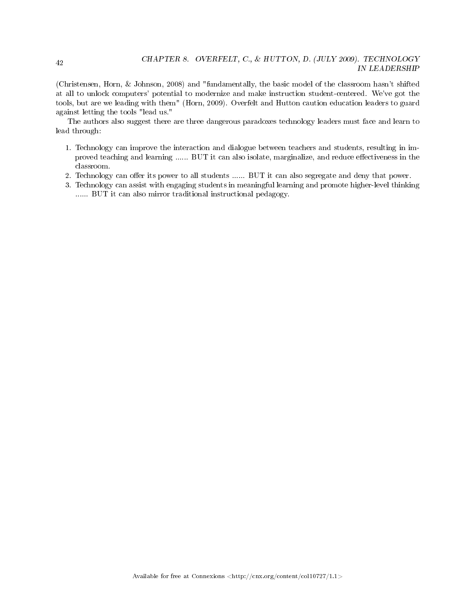(Christensen, Horn, & Johnson, 2008) and "fundamentally, the basic model of the classroom hasn't shifted at all to unlock computers' potential to modernize and make instruction student-centered. We've got the tools, but are we leading with them" (Horn, 2009). Overfelt and Hutton caution education leaders to guard against letting the tools "lead us."

The authors also suggest there are three dangerous paradoxes technology leaders must face and learn to lead through:

- 1. Technology can improve the interaction and dialogue between teachers and students, resulting in improved teaching and learning ...... BUT it can also isolate, marginalize, and reduce effectiveness in the classroom.
- 2. Technology can offer its power to all students ...... BUT it can also segregate and deny that power.
- 3. Technology can assist with engaging students in meaningful learning and promote higher-level thinking ...... BUT it can also mirror traditional instructional pedagogy.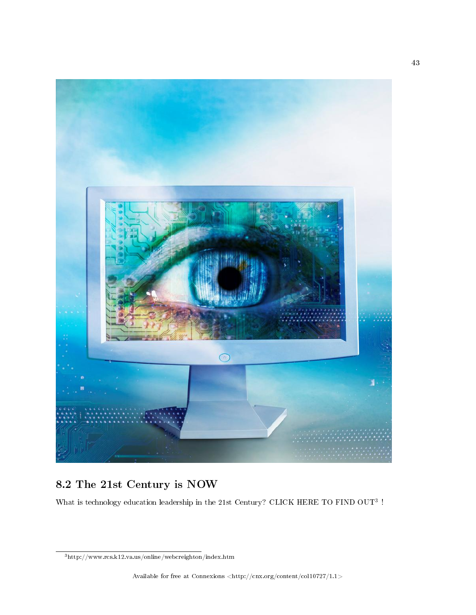

### 8.2 The 21st Century is NOW

What is technology education leadership in the 21st Century? CLICK HERE TO FIND OUT<sup>3</sup>!

 $3$ http://www.rcs.k12.va.us/online/webcreighton/index.htm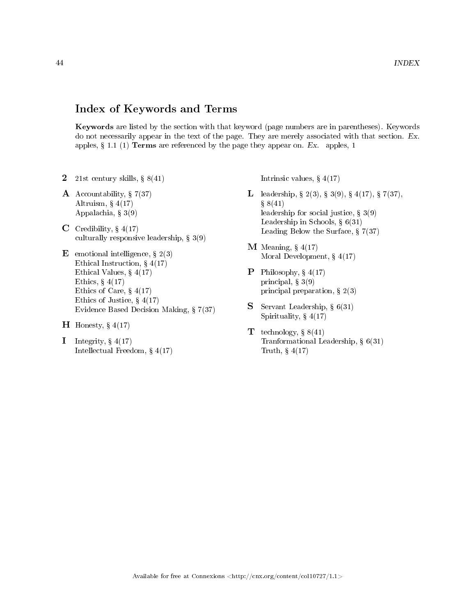#### Index of Keywords and Terms

Keywords are listed by the section with that keyword (page numbers are in parentheses). Keywords do not necessarily appear in the text of the page. They are merely associated with that section. Ex. apples,  $\S 1.1$  (1) Terms are referenced by the page they appear on. Ex. apples, 1

- 2 21st century skills,  $\S 8(41)$
- **A** Accountability, § 7(37) Altruism,  $§$  4(17) Appalachia,  $\S$  3(9)
- **C** Credibility,  $\S$  4(17) culturally responsive leadership,  $\S 3(9)$
- **E** emotional intelligence,  $\S$  2(3) Ethical Instruction,  $\S$  4(17) Ethical Values,  $\S$  4(17) Ethics,  $§$  4(17) Ethics of Care,  $\S$  4(17) Ethics of Justice,  $\S$  4(17) Evidence Based Decision Making,  $\S 7(37)$
- **H** Honesty,  $\S$  4(17)
- I Integrity,  $\S$  4(17) Intellectual Freedom,  $\S$  4(17)

Intrinsic values,  $\S$  4(17)

- **L** leadership, § 2(3), § 3(9), § 4(17), § 7(37),  $§ 8(41)$ leadership for social justice,  $\S 3(9)$ Leadership in Schools,  $\S$  6(31) Leading Below the Surface,  $\S 7(37)$
- $\bf{M}$  Meaning, § 4(17) Moral Development,  $\S$  4(17)
- **P** Philosophy,  $\S$  4(17) principal,  $\S 3(9)$ principal preparation,  $\S$  2(3)
- **S** Servant Leadership,  $\S 6(31)$ Spirituality,  $\S$  4(17)
- **T** technology,  $\S 8(41)$ Tranformational Leadership,  $\S$  6(31) Truth,  $§$  4(17)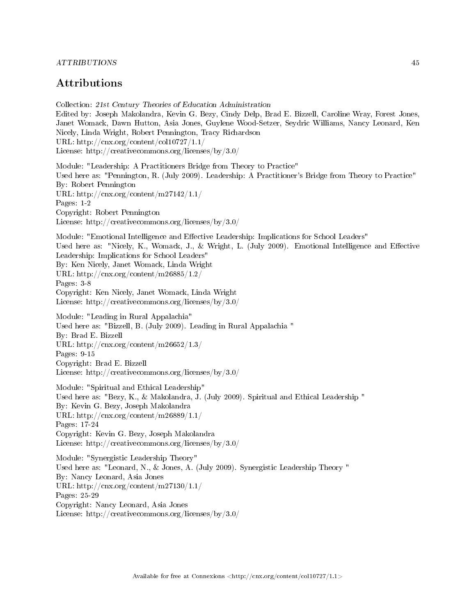#### ATTRIBUTIONS 45

#### Attributions

Collection: 21st Century Theories of Education Administration Edited by: Joseph Makolandra, Kevin G. Bezy, Cindy Delp, Brad E. Bizzell, Caroline Wray, Forest Jones, Janet Womack, Dawn Hutton, Asia Jones, Guylene Wood-Setzer, Seydric Williams, Nancy Leonard, Ken Nicely, Linda Wright, Robert Pennington, Tracy Richardson URL: http://cnx.org/content/col10727/1.1/ License: http://creativecommons.org/licenses/by/3.0/ Module: "Leadership: A Practitioners Bridge from Theory to Practice" Used here as: "Pennington, R. (July 2009). Leadership: A Practitioner's Bridge from Theory to Practice" By: Robert Pennington URL: http://cnx.org/content/m27142/1.1/ Pages: 1-2 Copyright: Robert Pennington License: http://creativecommons.org/licenses/by/3.0/ Module: "Emotional Intelligence and Effective Leadership: Implications for School Leaders" Used here as: "Nicely, K., Womack, J., & Wright, L. (July 2009). Emotional Intelligence and Effective Leadership: Implications for School Leaders" By: Ken Nicely, Janet Womack, Linda Wright URL: http://cnx.org/content/m26885/1.2/ Pages: 3-8 Copyright: Ken Nicely, Janet Womack, Linda Wright License: http://creativecommons.org/licenses/by/3.0/ Module: "Leading in Rural Appalachia" Used here as: "Bizzell, B. (July 2009). Leading in Rural Appalachia " By: Brad E. Bizzell URL: http://cnx.org/content/m26652/1.3/ Pages: 9-15 Copyright: Brad E. Bizzell License: http://creativecommons.org/licenses/by/3.0/ Module: "Spiritual and Ethical Leadership" Used here as: "Bezy, K., & Makolandra, J. (July 2009). Spiritual and Ethical Leadership " By: Kevin G. Bezy, Joseph Makolandra URL: http://cnx.org/content/m26889/1.1/ Pages: 17-24 Copyright: Kevin G. Bezy, Joseph Makolandra License: http://creativecommons.org/licenses/by/3.0/ Module: "Synergistic Leadership Theory" Used here as: "Leonard, N., & Jones, A. (July 2009). Synergistic Leadership Theory " By: Nancy Leonard, Asia Jones URL: http://cnx.org/content/m27130/1.1/ Pages: 25-29 Copyright: Nancy Leonard, Asia Jones License: http://creativecommons.org/licenses/by/3.0/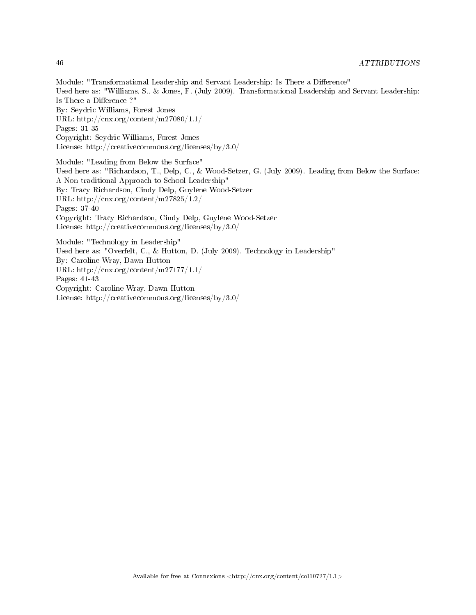Module: "Transformational Leadership and Servant Leadership: Is There a Difference" Used here as: "Williams, S., & Jones, F. (July 2009). Transformational Leadership and Servant Leadership: Is There a Difference?" By: Seydric Williams, Forest Jones URL: http://cnx.org/content/m27080/1.1/ Pages: 31-35 Copyright: Seydric Williams, Forest Jones License: http://creativecommons.org/licenses/by/3.0/ Module: "Leading from Below the Surface" Used here as: "Richardson, T., Delp, C., & Wood-Setzer, G. (July 2009). Leading from Below the Surface: A Non-traditional Approach to School Leadership" By: Tracy Richardson, Cindy Delp, Guylene Wood-Setzer URL: http://cnx.org/content/m27825/1.2/ Pages: 37-40 Copyright: Tracy Richardson, Cindy Delp, Guylene Wood-Setzer License: http://creativecommons.org/licenses/by/3.0/ Module: "Technology in Leadership" Used here as: "Overfelt, C., & Hutton, D. (July 2009). Technology in Leadership" By: Caroline Wray, Dawn Hutton

URL: http://cnx.org/content/m27177/1.1/

Pages: 41-43

Copyright: Caroline Wray, Dawn Hutton

License: http://creativecommons.org/licenses/by/3.0/